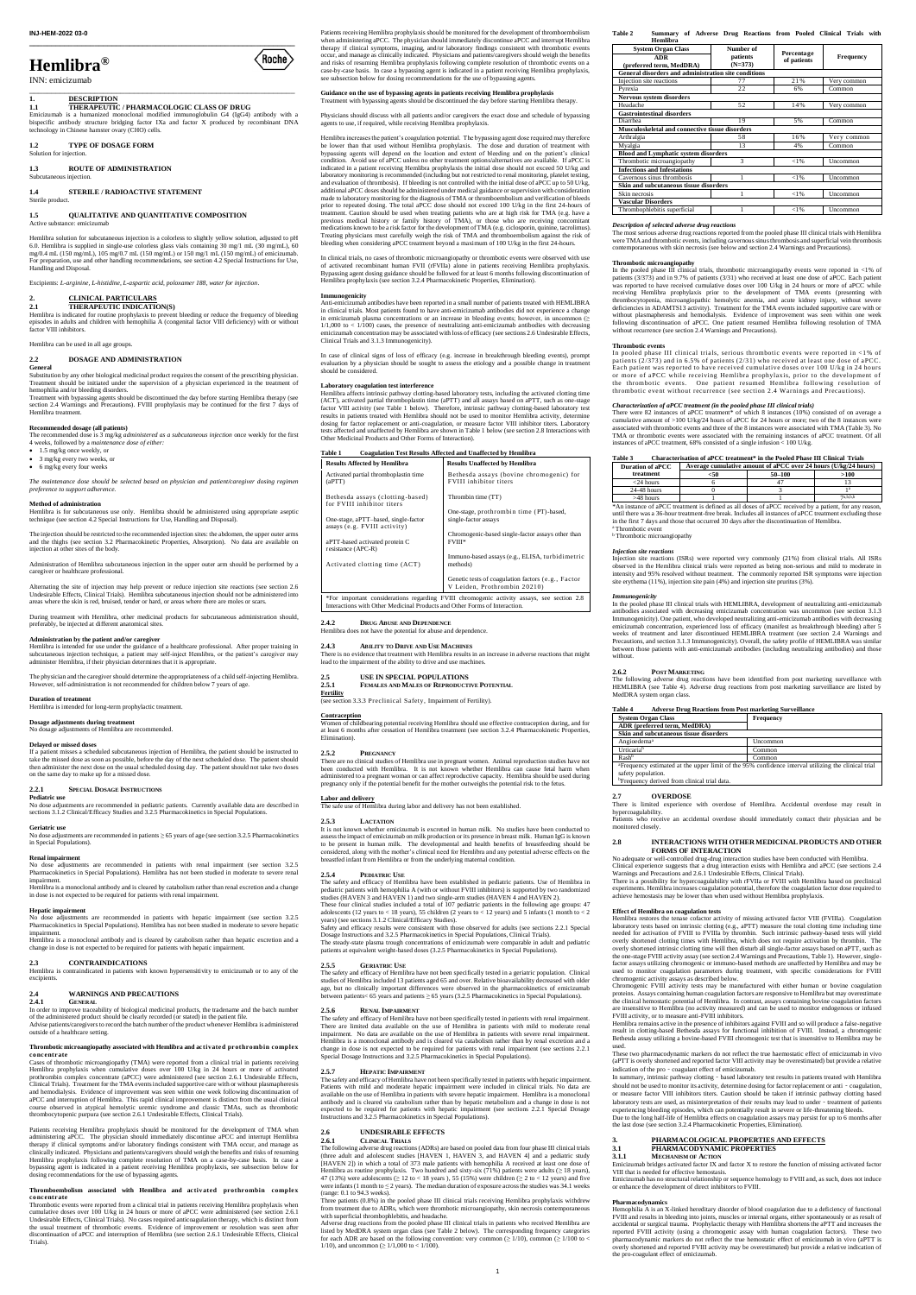**\_\_\_\_\_\_\_\_\_\_\_\_\_\_\_\_\_\_\_\_\_\_\_\_\_\_\_\_\_\_\_\_\_\_\_\_\_\_\_\_\_\_\_\_\_\_\_\_\_\_\_\_\_\_\_\_\_\_\_\_\_**

 $\bigl<$ Roche $\bigr>$ 

# **Hemlibra®**

INN: emicizumab

\_\_\_\_\_\_\_\_\_\_\_\_\_\_\_\_\_\_\_\_\_\_\_\_\_\_\_\_\_\_\_\_\_\_\_\_\_\_\_\_\_\_\_\_\_\_\_\_\_\_\_\_\_\_\_\_\_\_\_\_\_

## **1. DESCRIPTION**

**1.3 ROUTE OF ADMINISTRATION** Subcutaneous injection.

**1.1 THERAPEUTIC / PHARMACOLOGIC CLASS OF DRUG** Emicizumab is a humanized monoclonal modified immunoglobulin G4 (IgG4) antibody with a bispecific antibody structure bridging factor IXa and factor X produced by recombinant DNA technology in Chinese hamster ovary (CHO) cells.

**1.2 TYPE OF DOSAGE FORM**

Solution for injection.

#### **1.4 STERILE / RADIOACTIVE STATEMENT** Sterile product.

#### **1.5 QUALITATIVE AND QUANTITATIVE COMPOSITION** Active substance: emicizumab

Hemlibra solution for subcutaneous injection is a colorless to slightly yellow solution, adjusted to pH 6.0. Hemlibra is supplied in single-use colorless glass vials containing 30 mg/1 mL (30 mg/mL), 60 mg/0.4 mL (150 mg/mL), 105 mg/0.7 mL (150 mg/mL) or 150 mg/1 mL (150 mg/mL) of emicizumab. For preparation, use and other handling recommendations, see section 4.2 Special Instructions for Use, Handling and Disposal.

Excipients: *L-arginine, L-histidine, L-aspartic acid, poloxamer 188, water for injection*.

#### **2. CLINICAL PARTICULARS 2.1 THERAPEUTIC INDICATION(S)**

Hemlibra is indicated for routine prophylaxis to prevent bleeding or reduce the frequency of bleeding<br>episodes in adults and children with hemophilia A (congenital factor VIII deficiency) with or without<br>factor VIII inhibi

Hemlibra can be used in all age groups.

#### **2.2 DOSAGE AND ADMINISTRATION**

## **General**

Substitution by any other biological medicinal product requires the consent of the prescribing physician. Treatment should be initiated under the supervision of a physician experienced in the treatment of hemophilia and/or bleeding disorders.

Treatment with bypassing agents should be discontinued the day before starting Hemlibra therapy (see section 2.4 Warnings and Precautions). FVIII prophylaxis may be continued for the first 7 days of Hemlibra treatment.

**Dosage adjustments during treatment** age adjustments of Hemlibra are recommended.

#### **Recommended dosage (all patients)**

The recommended dose is 3 mg/kg *administered as a subcutaneous injection* once weekly for the first<br>4 weeks, followed by a *maintenance dose of either:*<br>• 1.5 mg/kg once weekly, or

- 
- $\bullet$  3 mg/kg every two weeks, or
- $6 \text{ mg/kg}$  every four weeks

If a patient misses a scheduled subcutaneous injection of Hemlibra, the patient should be instructed to<br>take the missed dose as soon as possible, before the day of the next scheduled dose. The patient should<br>then administe on the same day to make up for a missed dose.

*The maintenance dose should be selected based on physician and patient/caregiver dosing regimen preference to support adherence.*

#### **Method of administration**

Hemlibra is for subcutaneous use only. Hemlibra should be administered using appropriate aseptic technique (see section 4.2 Special Instructions for Use, Handling and Disposal).

The injection should be restricted to the recommended injection sites: the abdomen, the upper outer arms<br>and the thighs (see section 3.2 Pharmacokinetic Properties, Absorption). No data are available on<br>injection at other

Administration of Hemlibra subcutaneous injection in the upper outer arm should be performed by a caregiver or healthcare professional.

Alternating the site of injection may help prevent or reduce injection site reactions (see section 2.6 Undesirable Effects, Clinical Trials). Hemlibra subcutaneous injection should not be administered into areas where the skin is red, bruised, tender or hard, or areas where there are moles or scars.

During treatment with Hemlibra, other medicinal products for subcutaneous administration should, preferably, be injected at different anatomical sites.

Patients receiving Hemlibra prophylaxis should be monitored for the development of TMA when administering aPCC. The physician should immediately discontinue aPCC and interrupt Hemlibra therapy if clinical symptoms and/or laboratory findings consistent with TMA occur, and manage as clinically indicated. Physicians and patients/caregivers should weigh the benefits and risks of resuming Hemlibra prophylaxis following complete resolution of TMA on a case-by-case basis. In case a bypassing agent is indicated in a patient receiving Hemlibra prophylaxis, see subsection below for mutated in a pattent recentries constants.

**Administration by the patient and/or caregiver** Hemlibra is intended for use under the guidance of a healthcare professional. After proper training in subcutaneous injection technique, a patient may self-inject Hemlibra, or the patient's caregiver may administer Hemlibra, if their physician determines that it is appropriate.

The physician and the caregiver should determine the appropriateness of a child self-injecting Hemlibra. However, self-administration is not recommended for children below 7 years of age.

#### **Duration of treatment**

Hemlibra is intended for long-term prophylactic treatment.

## **Delayed or missed doses**

#### **2.2.1 SPECIAL DOSAGE INSTRUCTIONS**

**Pediatric use**

No dose adjustments are recommended in pediatric patients. Currently available data are described in sections 3.1.2 Clinical/Efficacy Studies and 3.2.5 Pharmacokinetics in Special Populations.

Hemlibra increases the patient's coagulation potential. The bypassing agent dose required may therefore be lower than that used without Hemlibra prophylaxis. The dose and duration of treatment with bypassing agents will depend on the location and extent of bleeding and on the patient's clinical condition. Avoid use of aPCC unless no other treatment options/alternatives are available. If aPCC is indicated in a patient receiving Hemlibra prophylaxis the initial dose should not exceed 50 U/kg and<br>laboratory monitoring is recommended (including but not restricted to renal monitoring, platelet testing,<br>and evaluation made to laboratory monitoring for the diagnosis of TMA or thromboembolism and verification of bleeds prior to repeated dosing. The total aPCC dose should not exceed 100 U/kg in the first 24-hours of treatment. Caution should be used when treating patients who are at high risk for TMA (e.g. have a previous medical history or family history of TMA), or those who are receiving concomitant medications known to be a risk factor for the development of TMA (e.g. ciclosporin, quinine, tacrolimus). Treating physicians must carefully weigh the risk of TMA and thromboembolism against the risk of bleeding when considering aPCC treatment beyond a maximum of 100 U/kg in the first 24-hours.

#### **Geriatric use**

No dose adjustments are recommended in patients ≥ 65 years of age (see section 3.2.5 Pharmacokinetics in Special Populations).

**Renal impairment** No dose adjustments are recommended in patients with renal impairment (see section 3.2.5 Pharmacokinetics in Special Populations). Hemlibra has not been studied in moderate to severe renal impairment.

Hemlibra is a monoclonal antibody and is cleared by catabolism rather than renal excretion and a change in dose is not expected to be required for patients with renal impairment.

#### **Hepatic impairment**

No dose adjustments are recommended in patients with hepatic impairment (see section 3.2.5 Pharmacokinetics in Special Populations). Hemlibra has not been studied in moderate to severe hepatic impairment. Hemlibra is a monoclonal antibody and is cleared by catabolism rather than hepatic excretion and a

change in dose is not expected to be required for patients with hepatic impairment

#### **2.3 CONTRAINDICATIONS** Hemlibra is contraindicated in patients with known hypersensitivity to emicizumab or to any of the

#### **2.4 WARNINGS AND PRECAUTIONS**

#### **2.4.1 GENERAL**

In case of clinical signs of loss of efficacy (e.g. increase in breakthrough bleeding events), prompt evaluation by a physician should be sought to assess the etiology and a possible change in treatment  $should$  be consider

In order to improve traceability of biological medicinal products, the tradename and the batch number of the administered product should be clearly recorded (or stated) in the patient file. Advise patients/caregivers to record the batch number of the product whenever Hemlibra is administered and administered the batch number of the product whenever Hemlibra is administered. outside of a healthcare setting.

#### **Thrombotic microangiopathy associated with Hemlibra and activated prothrombin complex concentrate**

Cases of thrombotic microangiopathy (TMA) were reported from a clinical trial in patients receiving Hemlibra prophylaxis when cumulative doses over 100 U/kg in 24 hours or more of activative doses prothrombin complex concentrate (aPCC) were administered (see section 2.6.1 Undesirable Effects,<br>Clinical Trials). Treatment for the TMA events included supportive care with or without plasmapheresis<br>and hemodialysis. Evid course observed in atypical hemolytic uremic syndrome and classic TMAs, such as thrombotic thrombocytopenic purpura (see section 2.6.1 Undesirable Effects, Clinical Trials).

**2.4.3 ABILITY TO DRIVE AND USE MACHINES** There is no evidence that treatment with Hemlibra results in an increase in adverse reactions that might lead to the impairment of the ability to drive and use machines.

**Fertility** tion 3.3.3 Preclinical Safety, Impairment of Fertility).

of childbearing potential receiving Hemlibra should use effective contraception during, and for at least 6 months after cessation of Hemlibra treatment (see section 3.2.4 Pharmacokinetic Properties, Elimination).

It is not known whether emicizumab is excreted in human milk. No studies have been conducted to assess the impact of emicizumab on milk production or its presence in breast milk. Human IgG is known<br>to be present in human milk. The developmental and health benefits of breastfeeding should be<br>considered, along with the breastfed infant from Hemlibra or from the underlying maternal conditi

#### **Thromboembolism associated with Hemlibra and activated prothrombin complex concentrate**

These four clinical studies included a total of 107 pediatric patients in the following age groups: 47 adolescents (12 years), 55 clinical/Sefficacy years to < 12 years) and 5 infants (1 month to < 2 years) (see sections Dosage Instructions and 3.2.5 Pharmacokinetics in Special Populations, Clinical Trials).

Thrombotic events were reported from a clinical trial in patients receiving Hemlibra prophylaxis when cumulative doses over 100 U/kg in 24 hours or more of aPCC were administered (see section 2.6.1<br>Undesirable Effects, Clinical Trials). No cases required anticoagulation therapy, which is distinct from<br>the usual treatment o discontinuation of aPCC and interruption of Hemlibra (see section 2.6.1 Undesirable Effects, Clinical Trials).

Patients receiving Hemlibra prophylaxis should be monitored for the development of thromboembolism when administering aPCC. The physician should immediately discontinue aPCC and interrupt Hemlibra therapy if clinical symptoms, imaging, and/or laboratory findings consistent with thrombotic events<br>occur, and manage as clinically indicated. Physicians and patients/caregivers should weigh the benefits<br>and risks of resum case-by-case basis. In case a bypassing agent is indicated in a patient receiving Hemlibra prophylaxis, see subsection below for dosing recommendations for the use of bypassing agents.

# **Guidance on the use of bypassing agents in patients receiving Hemlibra prophylaxis** Treatment with bypassing agents should be discontinued the day before starting Hemlibra therapy.

Physicians should discuss with all patients and/or caregivers the exact dose and schedule of bypassing

agents to use, if required, while receiving Hemlibra prophylaxis.

with superficial thrombophlebitis, and headache. Adverse drug reactions from the pooled phase III clinical trials in patients who received Hemlibra are listed by MedDRA system organ class (see Table 2 below). The corresponding frequency categories for each ADR are based on the following convention: very common ( $\geq$  1/10), common ( $\geq$  1/100 to <  $1/10$ ), and uncommon ( $\geq 1/1,000$  to  $\lt 1/100$ ).

In clinical trials, no cases of thrombotic microangiopathy or thrombotic events were observed with use of activated recombinant human FVII (rFVIIa) alone in patients receiving Hemlibra prophylaxis. Bypassing agent dosing guidance should be followed for at least 6 months following discontinuation of Hemlibra prophylaxis (see section 3.2.4 Pharmacokinetic Properties, Elimination).

#### **Immunogenicity**

Injection site reactions (ISRs) were reported very commonly (21%) from clinical trials. All ISRs observed in the Hemlibra clinical trials were reported as being non-serious and mild to moderate in<br>intensity and 95% resolved without treatment. The commonly reported ISR symptoms were injection<br>site erythema (11%), injec

Anti-emicizumab antibodies have been reported in a small number of patients treated with HEMLIBRA in clinical trials. Most patients found to have anti-emicizumab antibodies did not experience a change in emicizumab plasma concentrations or an increase in bleeding events; however, in uncommon (≥<br>1/1,000 to < 1/100) cases, the presence of neutralizing anti-emicizumab antibodies with decreasing<br>emicizumab concentration ma Clinical Trials and 3.1.3 Immunogenicity).

#### **Laboratory coagulation test interference**

**System Organ Class ADR (preferred term, MedDRA) Skin and subcutaneous tissue disorders**

Hemlibra affects intrinsic pathway clotting-based laboratory tests, including the activated clotting time (ACT), activated partial thromboplastin time (aPTT) and all assays based on aPTT, such as one-stage factor VIII activity (see Table 1 below). Therefore, intrinsic pathway clotting-based laboratory test results in patients treated with Hemlibra should not be used to monitor Hemlibra activity, determine dosing for factor replacement or anti-coagulation, or measure factor VIII inhibitor titers. Laboratory tests affected and unaffected by Hemlibra are shown in Table 1 below (see section 2.8 Interactions with Other Medicinal Products and Other Forms of Interaction).

> Hemlibra restores the tenase cofactor activity of missing activated factor VIII (FVIIIa). Coagulation laboratory tests based on intrinsic clotting (e.g., aPTT) measure the total clotting time including time needed for activation of FVIII to FVIIIa by thrombin. Such intrinsic pathway-based tests will yield overly shortened clotting times with Hemlibra, which does not require activation by thrombin. The<br>overly shortened intrinsic clotting time will then disturb all single-factor assays based on aPTT, such as<br>the one-stage FVI

## **Table 1 Coagulation Test Results Affected and Unaffected by Hemlibra**

factor assays utilizing chromogenic or immuno-based methods are unaffected by Hemlibra and may be used to monitor coagulation parameters during treatment, with specific considerations for FVIII character to minimize rangulation parameters and an

| <b>Results Affected by Hemlibra</b>                                                                                                                                      | <b>Results Unaffected by Hemlibra</b>                                              |  |  |
|--------------------------------------------------------------------------------------------------------------------------------------------------------------------------|------------------------------------------------------------------------------------|--|--|
| Activated partial thromboplastin time<br>(aPTT)                                                                                                                          | Bethesda assays (bovine chromogenic) for<br><b>FVIII</b> inhibitor titers          |  |  |
| Bethesda assays (clotting-based)<br>for FVIII inhibitor titers                                                                                                           | Thrombin time (TT)                                                                 |  |  |
|                                                                                                                                                                          | One-stage, prothrombin time (PT)-based,                                            |  |  |
| One-stage, aPTT-based, single-factor<br>assays (e.g. FVIII activity)                                                                                                     | single-factor assays                                                               |  |  |
| aPTT-based activated protein C                                                                                                                                           | Chromogenic-based single-factor assays other than<br><b>FVIII*</b>                 |  |  |
| resistance (APC-R)                                                                                                                                                       |                                                                                    |  |  |
| Activated clotting time (ACT)                                                                                                                                            | Immuno-based assays (e.g., ELISA, turbidimetric<br>methods)                        |  |  |
|                                                                                                                                                                          | Genetic tests of coagulation factors (e.g., Factor<br>V Leiden, Prothrombin 20210) |  |  |
| *For important considerations regarding FVIII chromogenic activity assays, see section 2.8<br>Interactions with Other Medicinal Products and Other Forms of Interaction. |                                                                                    |  |  |
|                                                                                                                                                                          |                                                                                    |  |  |

**2.4.2 DRUG ABUSE AND DEPENDENCE**

## Hemlibra does not have the potential for abuse and dependence.

**2.5 USE IN SPECIAL POPULATIONS 2.5.1 FEMALES AND MALES OF REPRODUCTIVE POTENTIAL** 

> In summary, intrinsic pathway clotting - based laboratory test results in patients treated with Hemlibra should not be used to monitor its activity, determine dosing for factor replacement or anti - coagulation, or measure factor VIII inhibitors titers. Caution should be taken if intrinsic pathway clotting based laboratory tests are used, as misinterpretation of their results may lead to under - treatment of patients experiencing bleeding episodes, which can potentially result in severe or life-threatening bleeds. Due to the long half-life of Hemlibra effects on coagulation assays may persist for up to 6 months after the last dose (see section 3.2.4 Pharmacokinetic Properties, Elimination).

#### **Contraception**

ab bridges activated factor IX and factor X to restore the function of missing activated factor VIII that is needed for effective hemostasis.

#### **2.5.2 PREGNANCY**

There are no clinical studies of Hemlibra use in pregnant women. Animal reproduction studies have not been conducted with Hemlibra. It is not known whether Hemlibra can cause fetal harm when administered to a pregnant woman or can affect reproductive capacity. Hemlibra should be used during pregnancy only if the potential benefit for the mother outweighs the potential risk to the fetus.

Hemophilia A is an X-linked hereditary disorder of blood coagulation due to a deficiency of functional<br>FVIII and results in bleeding into joints, muscles or internal organs, either spontaneously or as result of<br>accidental reported FVIII activity (using a chromogenic assay with human coagulation factors). These two<br>pharmacodynamic markers do not reflect the true hemostatic effect of emicizumab in vivo (aPTT is<br>overly shortened and reported F the pro-coagulant effect of emicizumab.

**Labor and delivery** The safe use of Hemlibra during labor and delivery has not been established.

## **2.5.3 LACTATION**

#### **2.5.4 PEDIATRIC USE**

The safety and efficacy of Hemlibra have been established in pediatric patients. Use of Hemlibra in<br>pediatric patients with hemophilia A (with or without FVIII inhibitors) is supported by two randomized<br>studies (HAVEN 3 an

The steady-state plasma trough concentrations of emicizumab were comparable in adult and pediatric patients at equivalent weight-based doses (3.2.5 Pharmacokinetics in Special Populations).

#### **2.5.5 GERIATRIC USE**

The safety and efficacy of Hemlibra have not been specifically tested in a geriatric population. Clinical

studies of Hemlibra included 13 patients aged 65 and over. Relative bioavailability decreased with older age, but no clinically important differences were observed in the pharmacokinetics of emicizumab between patients< 65 years and patients ≥ 65 years (3.2.5 Pharmacokinetics in Special Populations).

#### **2.5.6 RENAL IMPAIRMENT**

The safety and efficacy of Hemlibra have not been specifically tested in patients with renal impairment. There are limited data available on the use of Hemlibra in patients with mild to moderate renal impairment. No data are available on the use of Hemlibra in patients with severe renal impairment. Hemlibra is a monoclonal antibody and is cleared via catabolism rather than by renal excretion and a change in dose is not expected to be required for patients with renal impairment (see sections 2.2.1 Special Dosage Instructions and 3.2.5 Pharmacokinetics in Special Populations).

#### **2.5.7 HEPATIC IMPAIRMENT**

The safety and efficacy of Hemlibra have not been specifically tested in patients with hepatic impairment. Patients with mild and moderate hepatic impairment were included in clinical trials. No data are available on the use of Hemlibra in patients with severe hepatic impairment. Hemlibra is a monoclonal antibody and is cleared via catabolism rather than by hepatic metabolism and a change in dose is not expected to be required for patients with hepatic impairment (see sections 2.2.1 Special Dosage Instructions and 3.2.5 Pharmacokinetics in Special Populations).

# **2.6 UNDESIRABLE EFFECTS**

#### **2.6.1 CLINICAL TRIALS**

The following adverse drug reactions (ADRs) are based on pooled data from four phase III clinical trials (three adult and adolescent studies [HAVEN 1, HAVEN 3, and HAVEN 4] and a pediatric study [HAVEN 2]) in which a total of 373 male patients with hemophilia A received at least one dose of Hemlibra as routine prophylaxis. Two hundred and sixty-six (71%) patients were adults (≥ 18 years), 47 (13%) were adolescents ( $\geq$  12 to < 18 years), 55 (15%) were children ( $\geq$  2 to < 12 years) and five were infants (1 month to  $\leq$  2 years). The median duration of exposure across the studies was 34.1 weeks (range: 0.1 to 94.3 weeks).

Three patients (0.8%) in the pooled phase III clinical trials receiving Hemlibra prophylaxis withdrew from treatment due to ADRs, which were thrombotic microangiopathy, skin necrosis contemporaneous

#### **Table 2 Summary of Adverse Drug Reactions from Pooled Clinical Trials with Hemlibra**

| <b>System Organ Class</b>                            | Number of             |                           |             |
|------------------------------------------------------|-----------------------|---------------------------|-------------|
| <b>ADR</b><br>(preferred term, MedDRA)               | patients<br>$(N=373)$ | Percentage<br>of patients | Frequency   |
| General disorders and administration site conditions |                       |                           |             |
| Injection site reactions                             | 77                    | 21%                       | Very common |
| Pvrexia                                              | 22                    | 6%                        | Common      |
| Nervous system disorders                             |                       |                           |             |
| Headache                                             | 52                    | 14%                       | Very common |
| <b>Gastrointestinal disorders</b>                    |                       |                           |             |
| Diarrhea                                             | 19                    | 5%                        | Common      |
| Musculoskeletal and connective tissue disorders      |                       |                           |             |
| Arthralgia                                           | 58                    | 16%                       | Very common |
| Myalgia                                              | 13                    | 4%                        | Common      |
| <b>Blood and Lymphatic system disorders</b>          |                       |                           |             |
| Thrombotic microangiopathy                           | 3                     | < 1%                      | Uncommon    |
| <b>Infections and Infestations</b>                   |                       |                           |             |
| Cavernous sinus thrombosis                           |                       | < 1%                      | Uncommon    |
| Skin and subcutaneous tissue disorders               |                       |                           |             |
| Skin necrosis                                        |                       | < 1%                      | Uncommon    |
| <b>Vascular Disorders</b>                            |                       |                           |             |
| Thrombophlebitis superficial                         |                       | < 1%                      | Uncommon    |

## *Description of selected adverse drug reactions*

The most serious adverse drug reactions reported from the pooled phase III clinical trials with Hemlibra were TMA and thrombotic events, including cavernous sinus thrombosis and superficial vein thrombosis contemporaneous with skin necrosis (see below and section 2.4 Warnings and Precautions).

**Thrombotic microangiopathy**<br>In the pooled phase III clinical trials, thrombotic microangiopathy events were reported in <1% of<br>patients (3/373) and in 9.7% of patients (3/31) who received at least one dose of aPCC. Each p was reported to have received cumulative doses over 100 U/kg in 24 hours or more of aPCC while receiving Hemlibra prophylaxis prior to the development of TMA events (presenting with<br>thrombocytopenia, microangiopathic hemolytic anemia, and acute kidney injury, without severe<br>deficiencies in ADAMTS13 activity). Treatm without plasmapheresis and hemodialysis. Evidence of improvement was seen within one week following discontinuation of aPCC. One patient resumed Hemlibra following resolution of TMA without recurrence (see section 2.4 Warnings and Precautions).

**Thrombotic events** In pooled phase III clinical trials, serious thrombotic events were reported in <1% of patients (2/373) and in 6.5% of patients (2/31) who received at least one dose of aPCC.<br>Each patient was reported to have received cumulative doses over 100 U/kg in 24 hours<br>or more of aPCC while receiving Hemlibra prophyl thrombotic event without recurrence (see section 2.4 Warnings and Precautions).

#### *Characterization of aPCC treatment (in the pooled phase III clinical trials)*

There were 82 instances of aPCC treatment\* of which 8 instances (10%) consisted of on average a cumulative amount of >100 U/kg/24 hours of aPCC for 24 hours or more; two of the 8 instances were associated with thrombotic events and three of the 8 instances were associated with TMA (Table 3). No TMA or thrombotic events were associated with the remaining instances of aPCC treatment. Of all instances of aPCC treatment, 68% consisted of a single infusion < 100 U/kg.

#### **Table 3 Characterisation of aPCC treatment\* in the Pooled Phase III Clinical Trials**

| <b>Duration of aPCC</b> | Average cumulative amount of aPCC over 24 hours (U/kg/24 hours) |        |          |
|-------------------------|-----------------------------------------------------------------|--------|----------|
| treatment               | <50                                                             | 50-100 | >100     |
| $<$ 24 hours            |                                                                 |        |          |
| $24-48$ hours           |                                                                 |        |          |
| $\sim$ 48 hours         |                                                                 |        | 7a,b,b,b |

>48 hours 1 1 7<sup>a,b,b,b</sup><br>\*An instance of aPCC treatment is defined as all doses of aPCC received by a patient, for any reason, until there was a 36-hour treatment-free break. Includes all instances of aPCC treatment excluding those in the first 7 days and those that occurred 30 days after the discontinuation of Hemlibra. Thrombotic event

<sup>b</sup> Thrombotic microangiopathy

#### *Injection site reactions*

*Immunogenicity* In the pooled phase III clinical trials with HEMLIBRA, development of neutralizing anti-emicizumab

antibodies associated with decreasing emicizumab concentration was uncommon (see section 3.1.3<br>Immunogenicity). One patient, who developed neutralizing anti-emicizumab antibodies with decreasing<br>emicizumab concentration, e

Precautions, and section 3.1.3 Immunogenicity). Overall, the safety profile of HEMLIBRA was similar between those patients with anti-emicizumab antibodies (including neutralizing antibodies) and those

without.

**2.6.2 POST MARKETING**

*bFrequency derived from clinical trial data* 

The following adverse drug reactions have been identified from post marketing surveillance with HEMLIBRA (see Table 4). Adverse drug reactions from post marketing surveillance are listed by

Rash<sup>b</sup><br><sup>4</sup>Frequency estimated at the upper limit of the 95% confidence interval utilizing the clinical trial safety population.

MedDRA system organ class.

**Table 4 Adverse Drug Reactions from Post marketing Surveillance**

Angioedema<sup>a</sup> Uncommon Urticaria<sup>b</sup> Common

**2.7 OVERDOSE**

There is limited experience with overdose of Hemlibra. Accidental overdose may result in

hypercoagulability.

Patients who receive an accidental overdose should immediately contact their physician and be

monitored closely.

**2.8 INTERACTIONS WITH OTHER MEDICINAL PRODUCTS AND OTHER** 

Clinical experience suggests that a drug interaction exists with Hemlibra and aPCC (see sections 2.4<br>Warnings and Precautions and 2.6.1 Undesirable Effects, Clinical Trials).<br>There is a possibility for hypercoagulability w

**FORMS OF INTERACTION**

excipi

No adequate or well-controlled drug-drug interaction studies have been conducted with Hemlibra.

achieve hemostasis may be lower than when used without Hemlibra prophylaxis.

**Effect of Hemlibra on coagulation tests**

Chromogenic FVIII activity tests may be manufactured with either human or bovine coagulation proteins. Assays containing human coagulation factors are responsive to Hemlibra but may overestimate<br>the clinical hemostatic potential of Hemlibra. In contrast, assays containing bovine coagulation factors<br>are insensitive FVIII activity, or to measure anti-FVIII inhibitors.

Hemlibra remains active in the presence of inhibitors against FVIII and so will produce a false-negative result in clotting-based Bethesda assays for functional inhibition of FVIII. Instead, a chromogenic Bethesda assay utilizing a bovine-based FVIII chromogenic test that is insensitive to Hemlibra may be used.

codynamic markers do not reflect the true haemostatic effect of emicizum (aPTT is overly shortened and reported factor VIII activity may be overestimated) but provide a relative indication of the pro - coagulant effect of emicizumab.

#### **3. PHARMACOLOGICAL PROPERTIES AND EFFECTS**

# **3.1 PHARMACODYNAMIC PROPERTIES**<br>**3.1.1 MECHANISM OF ACTION**

#### **3.1.1 MECHANISM OF ACTION**

Emicizumab has no structural relationship or sequence homology to FVIII and, as such, does not induce or enhance the development of direct inhibitors to FVIII.

#### **Pharmacodynamics**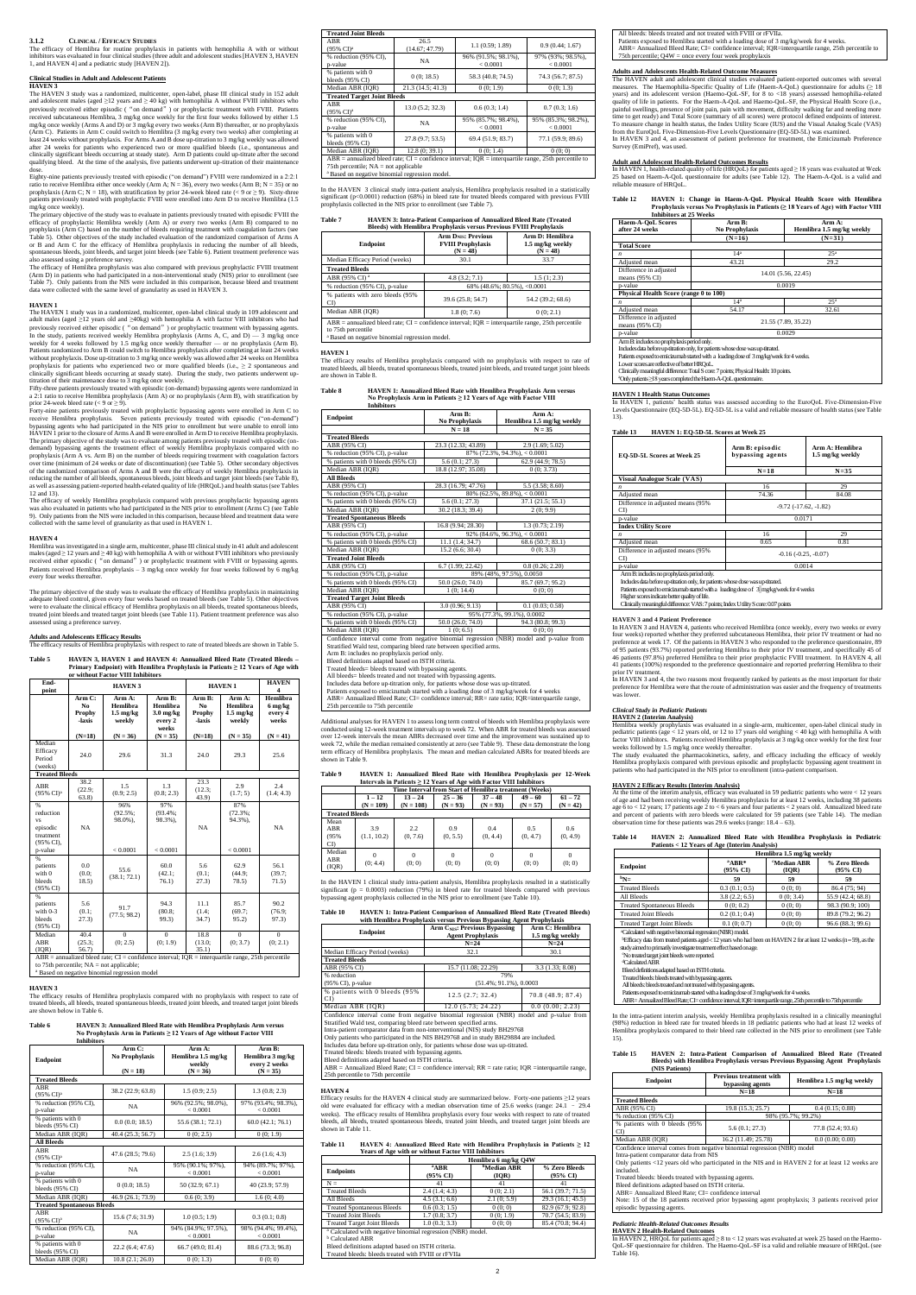#### **3.1.2 CLINICAL / EFFICACY STUDIES**

The efficacy of Hemlibra for routine prophylaxis in patients with hemophilia A with or without inhibitors was evaluated in four clinical studies (three adult and adolescent studies [HAVEN 3, HAVEN 1, and HAVEN 4] and a pediatric study [HAVEN 2]).

The HAVEN 3 study was a randomized, multicenter, open-label, phase III clinical study in 152 adult and adolescent males (aged ≥12 years and ≥ 40 kg) with hemophilia A without FVIII inhibitors who previously received either episodic ("on demand") or prophylactic treatment with FVIII. Patients received subcutaneous Hemlibra, 3 mg/kg once weekly for the first four weeks followed by either 1.5 mg/kg once weekly (Arms A and D) or 3 mg/kg every two weeks (Arm B) thereafter, or no prophylaxis (Arm C). Patients in Arm C could switch to Hemlibra (3 mg/kg every two weeks) after completing at<br>least 24 weeks without prophylaxis. For Arms A and B dose up-itiration to 3 mg/kg weekly was allowed<br>after 24 weeks for pati clinically significant bleeds occurring at steady state). Arm D patients could up-titrate after the second qualifying bleed. At the time of the analysis, five patients underwent up-titration of their maintenance and the maintenance maintenance and their maintenance and their maintenance maintenance maintenance and their mainten

#### **Clinical Studies in Adult and Adolescent Patients HAVEN 3**

dose. Eighty-nine patients previously treated with episodic ("on demand") FVIII were randomized in a 2:2:1 ratio to receive Hemlibra either once weekly (Arm A; N = 36), every two weeks (Arm B; N = 35) or no prophylaxis (Arm C; N = 18), with stratification by prior 24-week bleed rate (< 9 or ≥ 9). Sixty-three patients previously treated with prophylactic FVIII were enrolled into Arm D to receive Hemlibra (1.5 .<br>mg/kg once weekly).

The primary objective of the study was to evaluate in patients previously treated with episodic FVIII the efficacy of prophylactic Hemlibra weekly (Arm A) or every two weeks (Arm B) compared to no prophylaxis (Arm C) based on the number of bleeds requiring treatment with coagulation factors (see<br>Table 5). Other objectives of the study included evaluation of the randomized comparison of Arms A<br>or B and Arm C for the spontaneous bleeds, joint bleeds, and target joint bleeds (see Table 6). Patient treatment preference was<br>also assessed using a preference survey.<br>The efficacy of Hemlibra prophylaxis was also compared with previous prophy

The HAVEN 1 study was in a randomized, multicenter, open-label clinical study in 109 adolescent and adult males (aged ≥12 years old and ≥40kg) with hemophilia A with factor VIII inhibitors who had previously received either episodic ("on demand") or prophylactic treatment with bypassing agents.<br>In the study, patients received weekly Hemlibra prophylaxis (Arms A, C, and D) — 3 mg/kg once weekly for 4 weeks followed by 1.5 mg/kg once weekly thereafter — or no prophylaxis (Arm B). Patients randomized to Arm B could switch to Hemlibra prophylaxis after completing at least 24 weeks<br>without prophylaxis. Dose up-titration to 3 mg/kg once weekly was allowed after 24 weeks on Hemlibra<br>prophylaxis for p clinically significant bleeds occurring at steady state). During the study, two patients underwent up-<br>titration of their maintenance dose to 3 mg/kg once weekly.<br>Fifty-three patients previously treated with episodic (on-

a 2:1 ratio to receive Hemlibra prophylaxis (Arm A) or no prophylaxis (Arm B), with stratification by prior 24-week bleed rate ( $\leq 9$  or  $\geq 9$ )

prior 24-week bleed rate  $(< 9 \text{ or } \ge 9)$ .<br>Forty-nine patients previously treated with prophylactic bypassing agents were enrolled in Arm C to<br>Forcy-nine patients previously treated with explodies ("on-demand")<br>bypassing a demand) bypassing agents the treatment effect of weekly Hemlibra prophylaxis compared with no<br>prophylaxis (Arm A vs. Arm B) on the number of bleeds requiring treatment with coagulation factors<br>over time (minimum of 24 week of the randomized comparison of Arms A and B were the efficacy of weekly Hemlibra prophylaxis in reducing the number of all bleeds, spontaneous bleeds, joint bleeds and target joint bleeds (see Table 8), as well as assessing patient-reported health-related quality of life (HRQoL) and health status (see Tables 12 and 13).

(Arm D) in patients who had participated in a non-interventional study (NIS) prior to enrollment (see Table 7). Only patients from the NIS were included in this comparison, because bleed and treatment data were collected with the same level of granularity as used in HAVEN 3.

The efficacy of weekly Hemlibra prophylaxis compared with previous prophylactic bypassing agents<br>was also evaluated in patients who had participated in the NIS prior to enrollment (Arms C) (see Table<br>9). Only patients from collected with the same level of granularity as that used in HAVEN 1.

#### **HAVEN 1**

The primary objective of the study was to evaluate the efficacy of Hemlibra prophylaxis in maintaining<br>adequate bleed control, given every four weeks based on treated bleeds (see Table 5). Other objectives<br>were to evaluate assessed using a preference survey.

In the HAVEN 3 clinical study intra-patient analysis, Hemlibra prophylaxis resulted in a statistic significant ( $p<0.0001$ ) reduction (68%) in bleed rate for treated bleeds compared with previous FVIII prophylaxis collected in the NIS prior to enrollment (see Table 7).

#### **HAVEN 4**

Hemlibra was investigated in a single arm, multicenter, phase III clinical study in 41 adult and adolescent males (aged ≥ 12 years and ≥ 40 kg) with hemophilia A with or without FVIII inhibitors who previously received either episodic ( "on demand") or prophylactic treatment with FVIII or bypassing agents. Patients received Hemlibra prophylaxis – 3 mg/kg once weekly for four weeks followed by 6 mg/kg every four weeks thereafter.

#### **Adults and Adolescents Efficacy Results**

 $\overline{\text{ophylaxis}}$  with respect to rate of treated bleeds are shown in Table 5.

**Table 5 HAVEN 3, HAVEN 1 and HAVEN 4: Annualized Bleed Rate (Treated Bleeds – Primary Endpoint) with Hemlibra Prophylaxis in Patients ≥ 12 Years of Age with or without Factor VIII Inhibitors**

> Additional analyses for HAVEN 1 to assess long term control of bleeds with Hemlibra prophylaxis were conducted using 12-week treatment intervals up to week 72. When ABR for treated bleeds was assessed<br>over 12-week intervals the mean ABRs decreased over time and the improvement was sustained up to<br>week 72, while the median term efficacy of Hemlibra prophylaxis. The mean and median calculated ABRs for treated bleeds are shown in Table 9.

#### **Table 9 HAVEN 1: Annualized Bleed Rate with Hemlibra Prophylaxis per 12-Week Intervals in Patients ≥ 12 Years of Age with Factor VIII Inhibit**

| End-<br>point                                                     | <b>HAVEN 3</b>                   |                                                                                                                             | <b>HAVEN1</b>                                                 |                                              | <b>HAVEN</b><br>$\boldsymbol{4}$                    |                                         |
|-------------------------------------------------------------------|----------------------------------|-----------------------------------------------------------------------------------------------------------------------------|---------------------------------------------------------------|----------------------------------------------|-----------------------------------------------------|-----------------------------------------|
|                                                                   | Arm C:<br>No<br>Prophy<br>-laxis | Arm A:<br>Hemlibra<br>$1.5 \text{ mg/kg}$<br>weekly                                                                         | Arm B:<br>Hemlibra<br>$3.0 \text{ mg/kg}$<br>every 2<br>weeks | Arm B:<br>N <sub>0</sub><br>Prophy<br>-laxis | Arm A:<br>Hemlibra<br>$1.5 \text{ mg/kg}$<br>weekly | Hemlibra<br>6 mg/kg<br>every 4<br>weeks |
|                                                                   | $(N=18)$                         | $(N = 36)$                                                                                                                  | $(N = 35)$                                                    | $(N=18)$                                     | $(N = 35)$                                          | $(N = 41)$                              |
| Median<br>Efficacy<br>Period<br>(weeks)                           | 24.0                             | 29.6                                                                                                                        | 31.3                                                          | 24.0                                         | 29.3                                                | 25.6                                    |
| <b>Treated Bleeds</b>                                             |                                  |                                                                                                                             |                                                               |                                              |                                                     |                                         |
| ABR<br>(95% CD <sup>a</sup>                                       | 38.2<br>(22.9;<br>63.8)          | 1.5<br>(0.9; 2.5)                                                                                                           | 1.3<br>(0.8; 2.3)                                             | 23.3<br>(12.3;<br>43.9)                      | 2.9<br>(1.7; 5)                                     | 2.4<br>(1.4; 4.3)                       |
| %<br>reduction<br><b>VS</b><br>episodic<br>treatment<br>(95% CI). | NA                               | 96%<br>$(92.5\%);$<br>98.0%),                                                                                               | 97%<br>$(93.4\%);$<br>98.3%),                                 | NA                                           | 87%<br>$(72.3\%);$<br>94.3%),                       | <b>NA</b>                               |
| p-value                                                           |                                  | < 0.0001                                                                                                                    | < 0.0001                                                      |                                              | < 0.0001                                            |                                         |
| %<br>patients<br>with 0<br>bleeds<br>(95% CI)                     | 0.0<br>(0.0)<br>18.5)            | 55.6<br>(38.1; 72.1)                                                                                                        | 60.0<br>(42.1)<br>76.1)                                       | 5.6<br>(0.1)<br>27.3)                        | 62.9<br>(44.9)<br>78.5)                             | 56.1<br>(39.7)<br>71.5)                 |
| %<br>patients<br>with $0-3$<br>bleeds<br>(95% CI)                 | 5.6<br>(0.1;<br>27.3)            | 91.7<br>(77.5; 98.2)                                                                                                        | 94.3<br>(80.8)<br>99.3)                                       | 11.1<br>(1.4;<br>34.7)                       | 85.7<br>(69.7)<br>95.2)                             | 90.2<br>(76.9;<br>97.3)                 |
| Median<br><b>ABR</b><br>(IOR)                                     | 40.4<br>(25.3)<br>56.7           | $\Omega$<br>(0; 2.5)<br>$ABR =$ annualized bleed rate; CI = confidence interval; IQR = interguartile range, 25th percentile | $\mathbf{0}$<br>(0; 1.9)                                      | 18.8<br>(13.0;<br>35.1)                      | $\mathbf{0}$<br>(0; 3.7)                            | $\Omega$<br>(0; 2.1)                    |

to 75th percentile; NA = not applicable; <sup>a</sup> Based on negative binomial regression mode

#### **HAVEN 3**

 $ABR =$  Annualized Bleed Rate; CI = confidence interval; RR = rate ratio; IQR =interquartile range 25th percentile to 75th percentile

Efficacy results for the HAVEN 4 clinical study are summarized below. Forty-one patients ≥12 years old were evaluated for efficacy with a median observation time of 25.6 weeks (range: 24.1 – 29.4 weeks). The efficacy results of Hemlibra prophylaxis every four weeks with respect to rate of treated bleeds, all bleeds, treated spontaneous bleeds, treated joint bleeds, and treated target joint bleeds are shown in Table 11.

The efficacy results of Hemlibra prophylaxis compared with no prophylaxis with respect to rate of treated bleeds, all bleeds, treated spontaneous bleeds, treated joint bleeds, and treated target joint bleeds are shown below in Table 6.

# **Table 6 HAVEN 3: Annualized Bleed Rate with Hemlibra Prophylaxis Arm versus No Prophylaxis Arm in Patients ≥ 12 Years of Age without Factor VIII Inhibitors**

Patients exposed to Hemlibra started with a loading dose of 3 mg/kg/week for 4 weeks. ABR= Annualized Bleed Rate; CI= confidence interval; IQR=interquartile range, 25th percentile to 75th percentile;  $Q4W =$  once every four week prophyla

| <b>Endpoint</b>                              | Arm C:<br>No Prophylaxis<br>$(N = 18)$ | Arm A:<br>Hemlibra 1.5 mg/kg<br>weekly<br>$(N = 36)$ | Arm B:<br>Hemlibra 3 mg/kg<br>every 2 weeks<br>$(N = 35)$ |
|----------------------------------------------|----------------------------------------|------------------------------------------------------|-----------------------------------------------------------|
| <b>Treated Bleeds</b>                        |                                        |                                                      |                                                           |
| ABR<br>$(95\% \text{ CI})^{\text{a}}$        | 38.2 (22.9; 63.8)                      | 1.5(0.9; 2.5)                                        | 1.3(0.8; 2.3)                                             |
| % reduction (95% CI),<br>p-value             | NA                                     | 96% (92.5%; 98.0%),<br>< 0.0001                      | 97% (93.4%; 98.3%),<br>< 0.0001                           |
| % patients with 0<br>bleeds (95% CI)         | 0.0(0.0; 18.5)                         | 55.6 (38.1; 72.1)                                    | 60.0(42.1; 76.1)                                          |
| Median ABR (IQR)                             | 40.4 (25.3; 56.7)                      | 0(0; 2.5)                                            | 0(0; 1.9)                                                 |
| <b>All Bleeds</b>                            |                                        |                                                      |                                                           |
| <b>ABR</b><br>$(95\% \text{ CI})^{\text{a}}$ | 47.6 (28.5; 79.6)                      | 2.5(1.6; 3.9)                                        | 2.6(1.6; 4.3)                                             |
| % reduction (95% CI),<br>p-value             | <b>NA</b>                              | 95% (90.1%; 97%),<br>< 0.0001                        | 94% (89.7%; 97%),<br>< 0.0001                             |
| % patients with 0<br>bleeds (95% CI)         | 0(0.0; 18.5)                           | 50 (32.9; 67.1)                                      | 40 (23.9; 57.9)                                           |
| Median ABR (IQR)                             | 46.9 (26.1; 73.9)                      | 0.6(0; 3.9)                                          | 1.6(0; 4.0)                                               |
| <b>Treated Spontaneous Bleeds</b>            |                                        |                                                      |                                                           |
| <b>ABR</b><br>(95% CI) <sup>a</sup>          | 15.6 (7.6; 31.9)                       | 1.0(0.5; 1.9)                                        | 0.3(0.1;0.8)                                              |
| % reduction (95% CI),<br>p-value             | <b>NA</b>                              | 94% (84.9%; 97.5%),<br>< 0.0001                      | 98% (94.4%; 99.4%),<br>< 0.0001                           |
| % patients with 0<br>bleeds (95% CI)         | 22.2(6.4; 47.6)                        | 66.7 (49.0; 81.4)                                    | 88.6 (73.3; 96.8)                                         |
| Median ABR (IQR)                             | 10.8(2.1; 26.0)                        | 0(0; 1.3)                                            | 0(0; 0)                                                   |

<u>Adult and Adolescent Health-Related Outcomes Results</u><br>In HAVEN 1, health-related quality of life (HRQoL) for patients aged≥ 18 years was evaluated at Week<br>25 based on Haem-A-QoL questionnaire for adults (see Table 12). reliable measure of HRQoL.

| <b>Treated Joint Bleeds</b>            |                        |                                                                                                       |                                 |
|----------------------------------------|------------------------|-------------------------------------------------------------------------------------------------------|---------------------------------|
| ABR<br>$(95\% \text{ CI})^{\text{a}}$  | 26.5<br>(14.67; 47.79) | 1.1 (0.59; 1.89)                                                                                      | 0.9(0.44; 1.67)                 |
| % reduction (95% CI),<br>p-value       | NA.                    | 96% (91.5%; 98.1%),<br>< 0.0001                                                                       | 97% (93%; 98.5%),<br>< 0.0001   |
| % patients with 0<br>bleeds (95% CI)   | 0(0; 18.5)             | 58.3 (40.8; 74.5)                                                                                     | 74.3 (56.7; 87.5)               |
| Median ABR (IQR)                       | 21.3(14.5; 41.3)       | 0(0; 1.9)                                                                                             | 0(0; 1.3)                       |
| <b>Treated Target Joint Bleeds</b>     |                        |                                                                                                       |                                 |
| ABR<br>$(95\% \text{ CI})^{\text{a}}$  | 13.0(5.2; 32.3)        | 0.6(0.3; 1.4)                                                                                         | 0.7(0.3; 1.6)                   |
| % reduction (95% CI),<br>p-value       | NA                     | 95% (85.7%; 98.4%),<br>< 0.0001                                                                       | 95% (85.3%; 98.2%),<br>< 0.0001 |
| % patients with 0<br>bleeds (95% CI)   | 27.8 (9.7; 53.5)       | 69.4 (51.9: 83.7)                                                                                     | 77.1 (59.9; 89.6)               |
| Median ABR (IQR)                       | 12.8(0; 39.1)          | 0(0; 1.4)                                                                                             | 0(0; 0)                         |
| 75th percentile; $NA = not$ applicable |                        | $ABR =$ annualized bleed rate; CI = confidence interval; IQR = interguarile range, 25th percentile to |                                 |

a<br>Based on negative binomial regression model

## **Table 7 HAVEN 3: Intra-Patient Comparison of Annualized Bleed Rate (Treated**

In HAVEN 3 and HAVEN 4, patients who received Hemlibra (once weekly, every two weeks or every<br>four weeks) reported whether they preferred subcutaneous Hemlibra, their prior IV treatment or had no<br>preference at week 17. Of of 95 patients (93.7%) reported preferring Hemlibra to their prior IV treatment, and specifically 45 of 46 patients (97.8%) preferred Hemlibra to their prior prophylactic FVIII treatment. In HAVEN 4, all 41 patients (100%) responded to the preference questionnaire and reported preferring Hemlibra to their

**HAVEN 2 (Interim Analysis)** Hemlibra weekly prophylaxis was evaluated in a single-arm, multicenter, open-label clinical study in pediatric patients (age < 12 years old, or 12 to 17 years old weighing < 40 kg) with hemophilia A with<br>factor VIII inhibitors. Patients received Hemlibra prophylaxis at 3 mg/kg once weekly for the first four<br>weeks followed

The study evaluated the pharmacokinetics, safety, and efficacy including the efficacy of weekly<br>Hemlibra prophylaxis compared with previous episodic and prophylactic bypassing agent treatment in<br>patients who had participat

HAVEN 2 Efficacy Results (Interim Analysis)<br>At the time of the interim analysis, efficacy was evaluated in 59 pediatric patients who were < 12 years<br>of age and had been receiving weekly Hemlibra prophylaxis for at least 12 age 6 to < 12 years; 17 patients age 2 to < 6 years and four patients < 2 years old. Annualized bleed rate and percent of patients with zero bleeds were calculated for 59 patients and percent of patients was abover and the

| Bleeds) with Hemlibra Prophylaxis versus Previous FVIII Prophylaxis                                                                                                                      |                                                                     |                                                   |  |
|------------------------------------------------------------------------------------------------------------------------------------------------------------------------------------------|---------------------------------------------------------------------|---------------------------------------------------|--|
| Endpoint                                                                                                                                                                                 | <b>Arm DNIS: Previous</b><br><b>FVIII Prophylaxis</b><br>$(N = 48)$ | Arm D: Hemlibra<br>1.5 mg/kg weekly<br>$(N = 48)$ |  |
| Median Efficacy Period (weeks)                                                                                                                                                           | 30.1                                                                | 33.7                                              |  |
| <b>Treated Bleeds</b>                                                                                                                                                                    |                                                                     |                                                   |  |
| ABR (95% CI) <sup>a</sup>                                                                                                                                                                | 4.8(3.2; 7.1)                                                       | 1.5(1; 2.3)                                       |  |
| % reduction (95% CI), p-value                                                                                                                                                            | $68\%$ (48.6%; 80.5%), <0.0001                                      |                                                   |  |
| % patients with zero bleeds (95%)<br>CD                                                                                                                                                  | 39.6 (25.8: 54.7)                                                   | 54.2 (39.2: 68.6)                                 |  |
| Median ABR (IOR)                                                                                                                                                                         | 1.8(0; 7.6)                                                         | 0(0; 2.1)                                         |  |
| ABR = annualized bleed rate; $CI =$ confidence interval; $IQR =$ interguartile range, 25th percentile<br>to 75th percentile<br><sup>a</sup> Based on negative binomial regression model. |                                                                     |                                                   |  |

**HAVEN 1**

The efficacy results of Hemlibra prophylaxis compared with no prophylaxis with respect to rate of treated bleeds, all bleeds, treated spontaneous bleeds, treated joint bleeds, and treated target joint bleeds are shown in Table 8.

# **Table 8 HAVEN 1: Annualized Bleed Rate with Hemlibra Prophylaxis Arm versus No Prophylaxis Arm in Patients ≥ 12 Years of Age with Factor VIII Inhibitors**

 Treated bleeds: bleeds treated with bypassing agents. All bleeds:bleeds treated and not treated with bypassing agents. Patients exposed to emicizumab started with a loading dose of 3 mg/kg/week for 4 weeks. ABR= Annualized Bleed Rate; CI= confidence interval; IQR=interquartile range, 25th percentile to 75th percentile to 75th percentile to 75th percentile to 75th percentile to 75th percentile to 75th percentile to 75th percen

| <b>Endpoint</b>                                                                               | Arm B:                   | Arm A:                          |  |  |
|-----------------------------------------------------------------------------------------------|--------------------------|---------------------------------|--|--|
|                                                                                               | No Prophylaxis           | Hemlibra 1.5 mg/kg weekly       |  |  |
|                                                                                               | $N = 18$                 | $N = 35$                        |  |  |
| <b>Treated Bleeds</b>                                                                         |                          |                                 |  |  |
| ABR (95% CI)                                                                                  | 23.3 (12.33; 43.89)      | 2.9(1.69; 5.02)                 |  |  |
| % reduction (95% CI), p-value                                                                 |                          | $87\%$ (72.3%, 94.3%), < 0.0001 |  |  |
| % patients with 0 bleeds (95% CI)                                                             | 5.6(0.1; 27.3)           | 62.9 (44.9; 78.5)               |  |  |
| Median ABR (IQR)                                                                              | 18.8 (12.97; 35.08)      | 0(0; 3.73)                      |  |  |
| <b>All Bleeds</b>                                                                             |                          |                                 |  |  |
| ABR (95% CI)                                                                                  | 28.3 (16.79; 47.76)      | 5.5(3.58; 8.60)                 |  |  |
| % reduction (95% CI), p-value                                                                 |                          | $80\%$ (62.5%, 89.8%), < 0.0001 |  |  |
| % patients with 0 bleeds (95% CI)                                                             | 5.6(0.1; 27.3)           | 37.1 (21.5; 55.1)               |  |  |
| Median ABR (IQR)                                                                              | 30.2 (18.3; 39.4)        | 2(0; 9.9)                       |  |  |
| <b>Treated Spontaneous Bleeds</b>                                                             |                          |                                 |  |  |
| ABR (95% CI)                                                                                  | 16.8 (9.94; 28.30)       | 1.3(0.73; 2.19)                 |  |  |
| % reduction (95% CI), p-value                                                                 |                          | $92\%$ (84.6%, 96.3%), < 0.0001 |  |  |
| % patients with 0 bleeds (95% CI)                                                             | 11.1 (1.4; 34.7)         | 68.6 (50.7; 83.1)               |  |  |
| Median ABR (IQR)                                                                              | 15.2(6.6; 30.4)          | 0(0; 3.3)                       |  |  |
| <b>Treated Joint Bleeds</b>                                                                   |                          |                                 |  |  |
| ABR (95% CI)                                                                                  | 6.7 (1.99; 22.42)        | 0.8(0.26; 2.20)                 |  |  |
| % reduction (95% CI), p-value                                                                 | 89% (48%, 97.5%), 0.0050 |                                 |  |  |
| % patients with 0 bleeds (95% CI)                                                             | 50.0 (26.0; 74.0)        | 85.7 (69.7; 95.2)               |  |  |
| Median ABR (IQR)                                                                              | 1(0; 14.4)               | 0(0; 0)                         |  |  |
| <b>Treated Target Joint Bleeds</b>                                                            |                          |                                 |  |  |
| ABR (95% CI)                                                                                  | 3.0(0.96; 9.13)          | 0.1(0.03; 0.58)                 |  |  |
| % reduction (95% CI), p-value                                                                 |                          | 95% (77.3%, 99.1%), 0.0002      |  |  |
| % patients with 0 bleeds (95% CI)                                                             | 50.0 (26.0; 74.0)        | 94.3 (80.8; 99.3)               |  |  |
| Median ABR (IQR)                                                                              | 1(0; 6.5)                | 0(0; 0)                         |  |  |
| Confidence interval come from negative binomial regression (NBR) model and p-value from       |                          |                                 |  |  |
| Stratified Wald test, comparing bleed rate between specified arms.                            |                          |                                 |  |  |
| Arm B: includes no prophylaxis period only.                                                   |                          |                                 |  |  |
| Bleed definitions adapted based on ISTH criteria.                                             |                          |                                 |  |  |
| Treated bleeds= bleeds treated with bypassing agents.                                         |                          |                                 |  |  |
| All bleeds= bleeds treated and not treated with bypassing agents.                             |                          |                                 |  |  |
| Includes data before up-titration only, for patients whose dose was up-titrated.              |                          |                                 |  |  |
| Patients exposed to emicizumab started with a loading dose of 3 mg/kg/week for 4 weeks        |                          |                                 |  |  |
| ABR= Annualized Bleed Rate; CI= confidence interval; RR= rate ratio; IQR=interquartile range, |                          |                                 |  |  |
| 25th percentile to 75th percentile                                                            |                          |                                 |  |  |

In HAVEN 2, HRQoL for patients aged ≥ 8 to < 12 years was evaluated at week 25 based on the Haemo-QoL-SF questionnaire for children. The Haemo-QoL-SF is a valid and reliable measure of HRQoL (see Table 16)

|                             |                    | Time Interval from Start of Hemlibra treatment (Weeks) |                    |                 |                    |                    |
|-----------------------------|--------------------|--------------------------------------------------------|--------------------|-----------------|--------------------|--------------------|
|                             | $1 - 12$           | $13 - 24$                                              | $25 - 36$          | $37 - 48$       | $49 - 60$          | $61 - 72$          |
|                             | $(N = 109)$        | $(N = 108)$                                            | $(N = 93)$         | $(N = 93)$      | $(N = 57)$         | $(N = 42)$         |
| <b>Treated Bleeds</b>       |                    |                                                        |                    |                 |                    |                    |
| Mean<br>ABR<br>(95%)<br>CD. | 3.9<br>(1.1, 10.2) | 2.2<br>(0, 7.6)                                        | 0.9<br>(0, 5.5)    | 0.4<br>(0, 4.4) | 0.5<br>(0, 4.7)    | 0.6<br>(0, 4.9)    |
| Median<br>ABR<br>(IQR)      | (0, 4.4)           | $\Omega$<br>(0; 0)                                     | $\Omega$<br>(0; 0) | (0; 0)          | $\Omega$<br>(0; 0) | $\Omega$<br>(0; 0) |

In the HAVEN 1 clinical study intra-patient analysis, Hemlibra prophylaxis resulted in a statistically significant (p = 0.0003) reduction (79%) in bleed rate for treated bleeds compared with previous bypassing agent prophylaxis collected in the NIS prior to enrollment (see Table 10).

**Table 10 HAVEN 1: Intra-Patient Comparison of Annualized Bleed Rate (Treated Bleeds)** 

| with Hemlibra Prophylaxis versus Previous Bypassing Agent Prophylaxis                   |                                                                 |                                     |  |  |
|-----------------------------------------------------------------------------------------|-----------------------------------------------------------------|-------------------------------------|--|--|
| Endpoint                                                                                | <b>Arm CNIS: Previous Bypassing</b><br><b>Agent Prophylaxis</b> | Arm C: Hemlibra<br>1.5 mg/kg weekly |  |  |
|                                                                                         | $N=24$                                                          | $N=24$                              |  |  |
| Median Efficacy Period (weeks)                                                          | 32.1                                                            | 30.1                                |  |  |
| <b>Treated Bleeds</b>                                                                   |                                                                 |                                     |  |  |
| ABR (95% CI)                                                                            | 15.7 (11.08: 22.29)                                             | 3.3(1.33:8.08)                      |  |  |
| % reduction                                                                             | 79%                                                             |                                     |  |  |
| $(95\% \text{ CI})$ , p-value                                                           | $(51.4\%; 91.1\%), 0.0003$                                      |                                     |  |  |
| % patients with 0 bleeds (95%)                                                          | 12.5(2.7:32.4)                                                  | 70.8 (48.9; 87.4)                   |  |  |
| CD                                                                                      |                                                                 |                                     |  |  |
| Median ABR (IOR)                                                                        | 12.0 (5.73: 24.22)                                              | 0.0(0.00; 2.23)                     |  |  |
| Confidence interval come from negative binomial regression (NBR) model and p-value from |                                                                 |                                     |  |  |
| Stratified Wald test, comparing bleed rate between specified arms.                      |                                                                 |                                     |  |  |
| Later antique commonator data from non-interrestional (MIF) study DII00769              |                                                                 |                                     |  |  |

Intra-patient comparator data from non-interventional (NIS) study BH29768 Only patients who participated in the NIS BH29768 and in study BH29884 are included. Includes data before up-titration only, for patients whose dose was up-titrated.

Treated bleeds: bleeds treated with bypassing agents. Bleed definitions adapted based on ISTH criteria.

#### **HAVEN 4**

# **Table 11 HAVEN 4: Annualized Bleed Rate with Hemlibra Prophylaxis in Patients ≥ 12 Years of Age with or without Factor VIII Inhibitors**

|                                                                        | Hemlibra 6 mg/kg Q4W                              |                             |                           |  |  |  |
|------------------------------------------------------------------------|---------------------------------------------------|-----------------------------|---------------------------|--|--|--|
| <b>Endpoints</b>                                                       | <sup>a</sup> ABR<br>(95% CI)                      | <b>bMedian ABR</b><br>(IOR) | % Zero Bleeds<br>(95% CI) |  |  |  |
| $N =$                                                                  | 41                                                | 41                          | 41                        |  |  |  |
| <b>Treated Bleeds</b>                                                  | 2.4(1.4; 4.3)                                     | 0(0; 2.1)                   | 56.1 (39.7; 71.5)         |  |  |  |
| All Bleeds                                                             | 4.5(3.1; 6.6)                                     | 2.1(0; 5.9)                 | 29.3 (16.1; 45.5)         |  |  |  |
| <b>Treated Spontaneous Bleeds</b>                                      | 0.6(0.3; 1.5)                                     | 0(0; 0)                     | 82.9 (67.9; 92.8)         |  |  |  |
| <b>Treated Joint Bleeds</b>                                            | 1.7(0.8; 3.7)                                     | 0(0; 1.9)                   | 70.7 (54.5; 83.9)         |  |  |  |
| <b>Treated Target Joint Bleeds</b>                                     | 1.0(0.3; 3.3)                                     | 0(0; 0)                     | 85.4 (70.8; 94.4)         |  |  |  |
| <sup>a</sup> Calculated with negative binomial regression (NBR) model. |                                                   |                             |                           |  |  |  |
| <sup>b</sup> Calculated ABR                                            |                                                   |                             |                           |  |  |  |
|                                                                        | Bleed definitions adapted based on ISTH criteria. |                             |                           |  |  |  |
| Treated bleeds: bleeds treated with FVIII or rFVIIa                    |                                                   |                             |                           |  |  |  |

All bleeds: bleeds treated and not treated with FVIII or rFVIIa.

## **Adults and Adolescents Health-Related Outcome Measures**

The HAVEN adult and adolescent clinical studies evaluated patient-reported outcomes with several measures. The Haemophilia-Specific Quality of Life (Haem-A-QoL) questionnaire for adults (≥ 18<br>years) and its adolescent version (Haemo-QoL-SF, for 8 to <18 years) assessed hemophilia-related<br>quality of life in patients. F painful swellings, presence of joint pain, pain with movement, difficulty walking far and needing more<br>time to get ready) and Total Score (summary of all scores) were protocol defined endpoints of interest.<br>To measure chan In HAVEN 3 and 4, an assessment of patient preference for treatment, the Emicizumab Preference Survey (EmiPref), was used.

**Table 12 HAVEN 1: Change in Haem-A-QoL Physical Health Score with Hemlibra Prophylaxis versus No Prophylaxis in Patients (≥ 18 Years of Age) with Factor VIII Inhibitors at 25 Weeks**

| <b>Haem-A-OoL Scores</b><br>after 24 weeks          | Arm B:<br>No Prophylaxis                                                                | Arm A:<br>Hemlibra 1.5 mg/kg weekly |  |
|-----------------------------------------------------|-----------------------------------------------------------------------------------------|-------------------------------------|--|
|                                                     | $(N=16)$                                                                                | $(N=31)$                            |  |
| <b>Total Score</b>                                  |                                                                                         |                                     |  |
| n                                                   | 14 <sup>a</sup>                                                                         | 25 <sup>a</sup>                     |  |
| Adjusted mean                                       | 43.21                                                                                   | 29.2                                |  |
| Difference in adjusted<br>means $(95\% \text{ CI})$ | 14.01 (5.56, 22.45)                                                                     |                                     |  |
| p-value                                             | 0.0019                                                                                  |                                     |  |
| Physical Health Score (range 0 to 100)              |                                                                                         |                                     |  |
| n                                                   | 14 <sup>a</sup>                                                                         | 25 <sup>a</sup>                     |  |
| Adjusted mean                                       | 54.17                                                                                   | 32.61                               |  |
| Difference in adjusted<br>means $(95\% \text{ CI})$ |                                                                                         | 21.55 (7.89, 35.22)                 |  |
| p-value                                             | 0.0029                                                                                  |                                     |  |
| Arm B: includes no prophylaxis period only.         |                                                                                         |                                     |  |
|                                                     | Includes data before up-titration only, for patients whose dose was up-titrated.        |                                     |  |
|                                                     | Patients exposed to emicizumab started with a loading dose of 3 mg/kg/week for 4 weeks. |                                     |  |
| Lower scores are reflective of better HRQoL.        |                                                                                         |                                     |  |
|                                                     | Clinically meaningful difference: Total S. core: 7 registe: Physical Health: 10 registe |                                     |  |

Clinically meaningful difference: Total Score: 7 points; Physical Health: 10 points. <sup>a</sup>Only patients ≥18 years completed the Haem-A-QoL questionnaire.

#### **HAVEN 1 Health Status Outcomes**

In HAVEN 1, patients' health status was assessed according to the EuroQoL Five-Dimension-Five Levels Questionnaire (EQ-5D-5L). EQ-5D-5L is a valid and reliable measure of health status (see Table 13).

#### **Table 13 HAVEN 1: EQ-5D-5L Scores at Week 25**

| EO-5D-5L Scores at Week 25                                                                                                               | Arm B: episodic<br>bypassing agents | Arm A: Hemlibra<br>1.5 mg/kg weekly |  |
|------------------------------------------------------------------------------------------------------------------------------------------|-------------------------------------|-------------------------------------|--|
|                                                                                                                                          | $N=18$                              | $N = 35$                            |  |
| Visual Analogue Scale (VAS)                                                                                                              |                                     |                                     |  |
| n                                                                                                                                        | 16                                  | 29                                  |  |
| Adjusted mean                                                                                                                            | 74.36                               | 84.08                               |  |
| Difference in adjusted means (95%)<br>CD                                                                                                 | $-9.72(-17.62,-1.82)$               |                                     |  |
| p-value                                                                                                                                  | 0.0171                              |                                     |  |
| <b>Index Utility Score</b>                                                                                                               |                                     |                                     |  |
| n                                                                                                                                        | 16                                  | 29                                  |  |
| Adjusted mean                                                                                                                            | 0.65                                | 0.81                                |  |
| Difference in adjusted means (95%)<br>CD                                                                                                 | $-0.16(-0.25, -0.07)$               |                                     |  |
| p-value                                                                                                                                  | 0.0014                              |                                     |  |
| Arm B: includes no prophylaxis period only.                                                                                              |                                     |                                     |  |
| Includes data before up-titration only, for patients whose dose was up-titrated.                                                         |                                     |                                     |  |
| Patients exposed to emicizumab started with a loading dose of 3 mg/kg/week for 4 weeks<br>Higher scores indicate better quality of life. |                                     |                                     |  |

Clinically meaningful difference: VAS: 7 points; Index Utility Score: 0.07 points

**HAVEN 3 and 4 Patient Preference**

prior IV treatment. In HAVEN 3 and 4, the two reasons most frequently ranked by patients as the most important for their preference for Hemlibra were that the route of administration was easier and the frequency of treatments was lower.

#### *Clinical Study in Pediatric Patients*

# **Table 14 HAVEN 2: Annualized Bleed Rate with Hemlibra Prophylaxis in Pediatric Patients < 12 Years of Age (Interim Analysis)**

|                                                          | Hemlibra 1.5 mg/kg weekly |                            |                           |
|----------------------------------------------------------|---------------------------|----------------------------|---------------------------|
| Endpoint                                                 | $^a$ ABR*<br>(95% CI)     | <b>Median ABR</b><br>(IOR) | % Zero Bleeds<br>(95% CI) |
| $bN=$                                                    | 59                        | 59                         | 59                        |
| <b>Treated Bleeds</b>                                    | 0.3(0.1; 0.5)             | 0(0; 0)                    | 86.4 (75; 94)             |
| All Bleeds                                               | 3.8(2.2; 6.5)             | 0(0; 3.4)                  | 55.9 (42.4; 68.8)         |
| <b>Treated Spontaneous Bleeds</b>                        | 0(0; 0.2)                 | 0(0; 0)                    | 98.3 (90.9; 100)          |
| <b>Treated Joint Bleeds</b>                              | 0.2(0.1; 0.4)             | 0(0; 0)                    | 89.8 (79.2; 96.2)         |
| <b>Treated Target Joint Bleeds</b>                       | 0.1(0;0.7)                | 0(0; 0)                    | 96.6 (88.3; 99.6)         |
| Calculated with negative hinomial regression (NBR) model |                           |                            |                           |

\*Calculated with negative binomial regression (NBR) model.<br><sup>b</sup>Efficacy data from treated patients aged < 12 years who had been on HAVEN 2 for at least 12 weeks (n=59), as the study aimed to primarily investigate treatment effect based on age.<br>"No treated target joint bleeds were reported.<br>"Calculated ABR

Bleed definitions adapted based on ISTH criteria.

In the intra-patient interim analysis, weekly Hemlibra prophylaxis resulted in a clinically meaningful (98%) reduction in bleed rate for treated bleeds in 18 pediatric patients who had at least 12 weeks of Hemlibra prophylaxis compared to their bleed rate collected in the NIS prior to enrollment (see Table 15).

## **Table 15 HAVEN 2: Intra-Patient Comparison of Annualized Bleed Rate (Treated Bleeds) with Hemlibra Prophylaxis versus Previous Bypassing Agent Prophylaxis (NIS Patients)**

| Endpoint                                                                                                                        | <b>Previous treatment with</b><br>bypassing agents                      | Hemlibra 1.5 mg/kg weekly |  |  |
|---------------------------------------------------------------------------------------------------------------------------------|-------------------------------------------------------------------------|---------------------------|--|--|
|                                                                                                                                 | $N=18$                                                                  | $N=18$                    |  |  |
| <b>Treated Bleeds</b>                                                                                                           |                                                                         |                           |  |  |
| ABR (95% CI)                                                                                                                    | 19.8 (15.3: 25.7)                                                       | 0.4(0.15; 0.88)           |  |  |
| % reduction (95% CI)                                                                                                            |                                                                         | 98% (95.7%; 99.2%)        |  |  |
| % patients with 0 bleeds (95%)<br>CD                                                                                            | 5.6(0.1; 27.3)                                                          | 77.8 (52.4: 93.6)         |  |  |
| Median ABR (IOR)                                                                                                                | 16.2 (11.49; 25.78)                                                     | 0.0(0.00; 0.00)           |  |  |
|                                                                                                                                 | Confidence interval comes from negative binomial regression (NBR) model |                           |  |  |
| Intra-patient comparator data from NIS                                                                                          |                                                                         |                           |  |  |
| Only patients <12 years old who participated in the NIS and in HAVEN 2 for at least 12 weeks are                                |                                                                         |                           |  |  |
| included.                                                                                                                       |                                                                         |                           |  |  |
| Treated bleeds: bleeds treated with bypassing agents.                                                                           |                                                                         |                           |  |  |
| Bleed definitions adapted based on ISTH criteria.                                                                               |                                                                         |                           |  |  |
| ABR= Annualized Bleed Rate; CI= confidence interval                                                                             |                                                                         |                           |  |  |
| Note: 15 of the 18 patients received prior bypassing agent prophylaxis; 3 patients received prior<br>episodic bypassing agents. |                                                                         |                           |  |  |

#### **Pediatric Health-Related Outcomes Res**

#### **HAVEN 2 Health-Related Outcomes**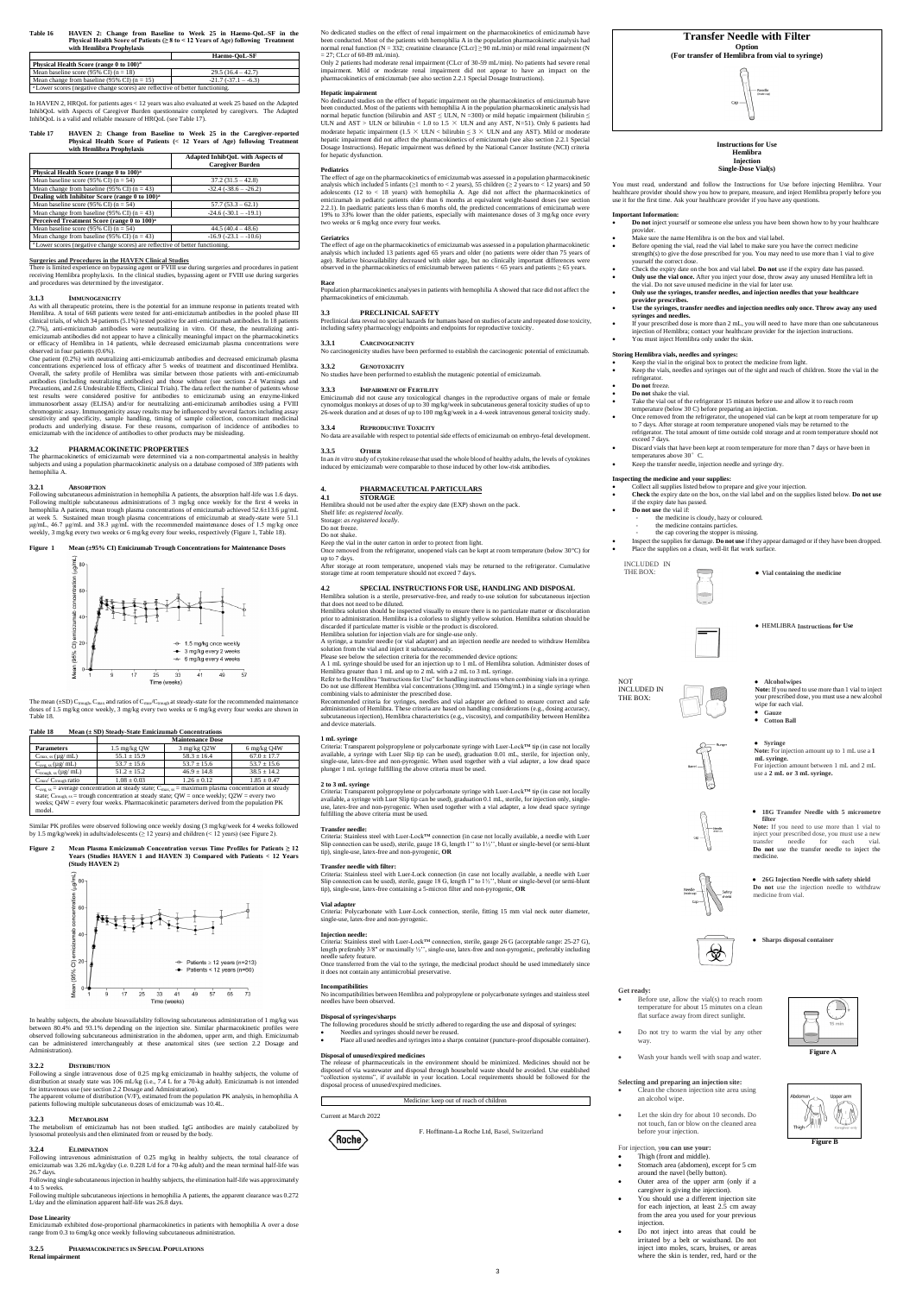**Table 16 HAVEN 2: Change from Baseline to Week 25 in Haemo-QoL-SF in the Physical Health Score of Patients (≥ 8 to < 12 Years of Age) following Treatment with Hemlibra Prophylaxis**

|                                                                                          | Haemo-OoL-SF        |  |
|------------------------------------------------------------------------------------------|---------------------|--|
| Physical Health Score (range 0 to 100) <sup>a</sup>                                      |                     |  |
| Mean baseline score (95% CI) $(n = 18)$                                                  | $29.5(16.4 - 42.7)$ |  |
| Mean change from baseline (95% CI) $(n = 15)$<br>$-21.7(-37.1 - -6.3)$                   |                     |  |
| <sup>a</sup> Lower scores (negative change scores) are reflective of better functioning. |                     |  |

In HAVEN 2, HRQoL for patients ages < 12 years was also evaluated at week 25 based on the Adapted<br>InhibQoL with Aspects of Caregiver Burden questionnaire completed by caregivers. The Adapted<br>InhibQoL is a valid and reliabl

| Table 17 | HAVEN 2: Change from Baseline to Week 25 in the Caregiver-reported        |
|----------|---------------------------------------------------------------------------|
|          | Physical Health Score of Patients (< 12 Years of Age) following Treatment |
|          | with Hemlibra Prophylaxis                                                 |

|                                                                                          | <b>Adapted InhibOoL with Aspects of</b><br><b>Caregiver Burden</b> |  |
|------------------------------------------------------------------------------------------|--------------------------------------------------------------------|--|
| Physical Health Score (range 0 to 100) <sup>a</sup>                                      |                                                                    |  |
| Mean baseline score (95% CI) $(n = 54)$                                                  | $37.2(31.5 - 42.8)$                                                |  |
| Mean change from baseline (95% CI) $(n = 43)$                                            | $-32.4(-38.6 - -26.2)$                                             |  |
| Dealing with Inhibitor Score (range 0 to 100) <sup>a</sup>                               |                                                                    |  |
| Mean baseline score (95% CI) $(n = 54)$                                                  | $57.7(53.3 - 62.1)$                                                |  |
| Mean change from baseline (95% CI) $(n = 43)$                                            | $-24.6$ $(-30.1 - -19.1)$                                          |  |
| Perceived Treatment Score (range 0 to 100) <sup>a</sup>                                  |                                                                    |  |
| Mean baseline score (95% CI) $(n = 54)$                                                  | $44.5(40.4 - 48.6)$                                                |  |
| Mean change from baseline (95% CI) $(n = 43)$                                            | $-16.9$ $(-23.1 - -10.6)$                                          |  |
| <sup>a</sup> Lower scores (negative change scores) are reflective of better functioning. |                                                                    |  |

**3.1.3** IMMUNOGENICITY<br>As with all therapeutic proteins, there is the potential for an immune response in patients treated with<br>Hemlibra. A total of 668 patients were tested for anti-emicizumab antibodies in the pooled pha clinical trials, of which 34 patients (5.1%) tested positive for anti-emicizumab antibodies. In 18 patients<br>(2.7%), anti-emicizumab antibodies were neutralizing in vitro. Of these, the neutralizing anti-<br>emicizum or efficacy of Hemlibra in 14 patients, while decreased emicizumab plasma concentrations were observed in four patients (0.6%).

**Surgeries and Procedures in the HAVEN Clinical Studies** There is limited experience on bypassing agent or FVIII use during surgeries and procedures in patient receiving Hemlibra prophylaxis. In the clinical studies, bypassing agent or FVIII use during surgeries and procedures was determined by the investigator.

One patient  $(0.2\%)$  with neutralizing anti-emicizumab antibodies and decreased emicizum concentrations experienced loss of efficacy after 5 weeks of treatment and discontinued Hemlibra. Overall, the safety profile of Hemlibra was similar between those patients with anti-emicizumab antibodies (including neutralizing antibodies) and those without (see sections 2.4 Warnings and Precautions, and 2.6 Undesirable Effects, Clinical Trials). The data reflect the number of patients whose test results were considered positive for antibodies to emicizumab using an enzyme-linked<br>immunosorbent assay (ELISA) and/or for neutralizing anti-emicizumab antibodies using a FVIII<br>chromogenic assay. Immunogenicity assay products and underlying disease. For these reasons, comparison of incidence of antibodies to emicizumab with the incidence of antibodies to other products may be misleading.

The mean ( $\pm$ SD) C<sub>trough</sub>, C<sub>max</sub> and ratios of C<sub>max</sub>/C<sub>trough</sub> at steady-state for the recommended maintenance doses of 1.5 mg/kg once weekly, 3 mg/kg every two weeks or 6 mg/kg every four weeks are shown in Table 18.

Similar PK profiles were observed following once weekly dosing (3 mg/kg/week for 4 weeks followed by 1.5 mg/kg/week) in adults/adolescents ( $> 12$  years) and children (< 12 years) (see Figure 2).

#### **3.2 PHARMACOKINETIC PROPERTIES**

Following multiple subcutaneous injections in hemophilia A patients, the apparent clearance was 0.272 L/day and the elimination apparent half-life was 26.8 days.

The pharmacokinetics of emicizumab were determined via a non-compartmental analysis in healthy subjects and using a population pharmacokinetic analysis on a database composed of 389 patients with hemophilia A.

No dedicated studies on the effect of renal impairment on the pharmacokinetics of emicizumab have been conducted. Most of the patients with hemophilia A in the population pharmacokinetic analysis had normal renal function (N = 332; creatinine clearance  $[CLcr] \ge 90$  mL/min) or mild renal impairment (N  $27$ ; CLcr of 60-89 mL/min).

#### **3.2.1 ABSORPTION**

Following subcutaneous administration in hemophilia A patients, the absorption half-life was 1.6 days.<br>Following multiple subcutaneous administrations of 3 mg/kg once weekly for the first 4 weeks in<br>hemophilia A patients, at week 5. Sustained mean trough plasma concentrations of emicizumab at steady-state were 51.1<br>µg/mL, 46.7 µg/mL and 38.3 µg/mL with the recommended maintenance doses of 1.5 mg/kg once<br>weekly, 3 mg/kg every two weeks or 6

#### **Figure 1 Mean (±95% CI) Emicizumab Trough Concentrations for Maintenance I**



#### **Table 18 Mean (± SD) Steady-State Emicizumab Concentrations**

|                                                                                                                             | <b>Maintenance Dose</b> |                 |                       |
|-----------------------------------------------------------------------------------------------------------------------------|-------------------------|-----------------|-----------------------|
| <b>Parameters</b>                                                                                                           | 1.5 mg/kg QW            | $3$ mg/kg $Q2W$ | $6 \text{ mg/kg}$ Q4W |
| $C_{\text{max, ss}}(\mu g/\text{mL})$                                                                                       | $55.1 \pm 15.9$         | $58.3 \pm 16.4$ | $67.0 \pm 17.7$       |
| $C_{\text{avg, ss}}(\mu g/\text{mL})$                                                                                       | $53.7 \pm 15.6$         | $53.7 \pm 15.6$ | $53.7 \pm 15.6$       |
| $C_{trough, ss} (\mu g / mL)$                                                                                               | $51.2 \pm 15.2$         | $46.9 \pm 14.8$ | $38.5 \pm 14.2$       |
| $C_{\text{max}}/C_{\text{trough}}$ ratio                                                                                    | $1.08 \pm 0.03$         | $1.26 \pm 0.12$ | $1.85 \pm 0.47$       |
| $C_{\text{avg, ss}}$ = average concentration at steady state; $C_{\text{max, ss}}$ = maximum plasma concentration at steady |                         |                 |                       |
| state; $C_{\text{trough, ss}}$ = trough concentration at steady state; QW = once weekly; Q2W = every two                    |                         |                 |                       |
| weeks; $Q4W =$ every four weeks. Pharmacokinetic parameters derived from the population $PK$                                |                         |                 |                       |
| model.                                                                                                                      |                         |                 |                       |

ion pharmacokinetics analyses in patients with hemophilia A showed that race did not affect the pharmacokinetics of emicizumab.

## **Figure 2 Mean Plasma Emicizumab Concentration versus Time Profiles for Patients ≥ 12 Years (Studies HAVEN 1 and HAVEN 3) Compared with Patients < 12 Years (Study HAVEN 2)**



Storage: *as registered locally.* Do not freeze

Once removed from the refrigerator, unopened vials can be kept at room temperature (below 30°C) for up to 7 days.

After storage at room temperature, unopened vials may be returned to the refrigerator. Cumulative storage time at room temperature should not exceed 7 days.

In healthy subjects, the absolute bioavailability following subcutaneous administration of 1 mg/kg was between 80.4% and 93.1% depending on the injection site. Similar pharmacokinetic profiles were observed following subcutaneous administration in the abdomen, upper arm, and thigh. Emicizumab can be administered interchangeably at these anatomical sites (see section 2.2 Dosage and Administration).

**3.2.2 DISTRIBUTION**<br>Following a single intravenous dose of 0.25 mg/kg emicizumab in healthy subjects, the volume of distribution at steady state was 106 mL/kg (i.e., 7.4 L for a 70-kg adult). Emicizumab is not intended

patients following multiple subcutaneous doses of emicizumab was 10.4L.

#### **3.2.3 METABOLISM**

combining vials to administer the prescribed dose.<br>Recommended criteria for syringes, needles and vial adapter are defined to ensure correct and safe<br>administration of Hemlibra. These criteria are based on handling conside subcutaneous injection), Hemlibra characteristics (e.g., viscosity), and compatibility between Hemlibra and device materials.

The metabolism of emicizumab has not been studied. IgG antibodies are mainly catabolized by lysosomal proteolysis and then eliminated from or reused by the body.

#### **3.2.4 ELIMINATION**

Following intravenous administration of 0.25 mg/kg in healthy subjects, the total clearance of emicizumab was 3.26 mL/kg/day (i.e. 0.228 L/d for a 70-kg adult) and the mean terminal half-life was 26.7 days.

Criteria: Transparent polypropylene or polycarbonate syringe with Luer-Lock™ tip (in case not locally<br>available, a syringe with Luer Slip tip can be used), graduation 0.1 mL, sterile, for injection only, single-<br>use, late fulfilling the above criteria must be used.

Following single subcutaneous injection in healthy subjects, the elimination half-life was approximately 4 to 5 weeks.

#### **Dose Linearity**

Emicizumab exhibited dose-proportional pharmacokinetics in patients with hemophilia A over a dose range from 0.3 to 6mg/kg once weekly following subcutaneous administration.

#### **3.2.5 PHARMACOKINETICS IN SPECIAL POPULATIONS Renal impairment**

**Incompatibilities**<br>No incompatibilities between Hemlibra and polypropylene or polycarbonate syringes and stainless steel<br>needles have been observed.

Only 2 patients had moderate renal impairment (CLcr of 30-59 mL/min). No patients had severe renal impairment. Mild or moderate renal impairment did not appear to have an impact on the pharmacokinetics of emicizumab (see also section 2.2.1 Special Dosage Instructions).

**Hepatic impairment**<br>No dedicated studies on the effect of hepatic impairment on the pharmacokinetics of emicizumab have<br>been conducted. Most of the patients with hemophilia A in the population pharmacokinetic analysis had normal hepatic function (bilirubin and AST  $\leq$  ULN, N =300) or mild hepatic impairment (bilirubin  $\leq$ ULN and AST > ULN or bilirubin < 1.0 to 1.5  $\times$  ULN and any AST, N=51). Only 6 patients had moderate hepatic impairment (1.5 × ULN < bilirubin ≤ 3 × ULN and any AST). Mild or moderate hepatic impairment did not affect the pharmacokinetics of emicizumab (see also section 2.2.1 Special Dosage Instructions). Hepatic impairment was defined by the National Cancer Institute (NCI) criteria for hepatic dysfunction.

- **Do not** inject yourself or someone else unless you have been shown how to by your healthcare provider.
- Make sure the name Hemlibra is on the box and vial label.
- Before opening the vial, read the vial label to make sure you have the correct medicine strength(s) to give the dose prescribed for you. You may need to use more than 1 vial to give yourself the correct dose. Check the expiry date on the box and vial label. **Do not** use if the expiry date has passed.
- **Only use the vial once.** After you inject your dose, throw away any unused Hemlibra left in the vial. Do not save unused medicine in the vial for later use.
- **Only use the syringes, transfer needles, and injection needles that your healthcare provider prescribes.**
- **Use the syringes, transfer needles and injection needles only once. Throw away any used syringes and needles.**
- If your prescribed dose is more than 2 mL, you will need to have more than one subcutaneous injection of Hemlibra; contact your healthcare provider for the injection instructions.
- You must inject Hemlibra only under the skin.

#### **Pediatrics**

The effect of age on the pharmacokinetics of emicizumab was assessed in a population pharmacokinetic analysis which included 5 infants (≥1 month to < 2 years), 55 children (≥ 2 years to < 12 years) and 50 adolescents (12 to < 18 years) with hemophilia A. Age did not affect the pharmacokinetics of<br>emicizumab in pediatric 2.2.1). In paediatric patients less than 6 months old, the predicted concentrations of emicizumab were 19% to 33% lower than the older patients, especially with maintenance doses of 3 mg/kg once every two weeks or 6 mg/kg once every four weeks.

- Collect all supplies listed below to prepare and give your injection. **Check** the expiry date on the box, on the vial label and on the supplies listed below. **Do not use**
- If the expiry date has passed. **Do not use** the vial if:
	-
	- the medicine is cloudy, hazy or coloured. the medicine contains particles.
	- the cap covering the stopper is missing.
- Inspect the supplies for damage. **Do not use** if they appear damaged or if they have been dropped. Place the supplies on a clean, well-lit flat work surface.

#### **Geriatrics**

INCLUDED IN THE BOX: **• Vial containing the medicine** 

The effect of age on the pharmacokinetics of emicizumab was assessed in a population pharmacokinetic analysis which included 13 patients aged 65 years and older (no patients were older than 75 years of age). Relative bioavailability decreased with older age, but no clinically important differences were observed in the pharmacokinetics of emicizumab between patients < 65 years and patients ≥ 65 years.

# **Race**

#### **3.3 PRECLINICAL SAFETY**

Preclinical data reveal no special hazards for humans based on studies of acute and repeated dose toxicity, including safety pharmacology endpoints and endpoints for reproductive toxicity.

#### **3.3.1 CARCINOGENICITY**

No carcinogenicity studies have been performed to establish the carcinogenic potential of emicizumab.

**3.3.2 GENOTOXICITY** No studies have been performed to establish the mutagenic potential of emicizumab.

#### **3.3.3 IMPAIRMENT OF FERTILITY**

Emicizumab did not cause any toxicological changes in the reproductive organs of male or female cynomolgus monkeys at doses of up to 30 mg/kg/week in subcutaneous general toxicity studies of up to 26-week duration and at doses of up to 100 mg/kg/week in a 4-week intravenous general toxicity study.

#### **3.3.4 REPRODUCTIVE TOXICITY**

No data are available with respect to potential side effects of emicizumab on embryo-fetal development.

**3.3.5** OTHER OUTHER CONSECT A SAMPLE TO A SAMPLE IT A *n* in the *n* in *n* in *in vitro* study of cytokines induced by emicizional parameters in the study of explosines induced by emicizumab were comparable to those indu

# **4. PHARMACEUTICAL PARTICULARS**

**4.1 STORAGE** Hemlibra should not be used after the expiry date (EXP) shown on the pack. Shelf life: *as registered locally.*

Do not shake.

#### Keep the vial in the outer carton in order to protect from light.

## **4.2 SPECIAL INSTRUCTIONS FOR USE, HANDLING AND DISPOSAL** Hemlibra solution is a sterile, preservative-free, and ready to-use solution for subcutaneous injection that does not need to be diluted.

Hemlibra solution should be inspected visually to ensure there is no particulate matter or discoloration prior to administration. Hemlibra is a colorless to slightly yellow solution. Hemlibra solution should be discarded if particulate matter is visible or the product is discolored.

Hemlibra solution for injection vials are for single-use only.

A syringe, a transfer needle (or vial adapter) and an injection needle are needed to withdraw Hemlibra solution from the vial and inject it subcutaneously. Please see below the selection criteria for the recommended device options:

A 1 mL syringe should be used for an injection up to 1 mL of Hemlibra solution. Administer doses of

Hemlibra greater than 1 mL and up to 2 mL with a 2 mL to 3 mL syringe. Refer to the Hemlibra "Instructions for Use" for handling instructions when combining vials in a syringe. Do not use different Hemlibra vial concentrations (30mg/mL and 150mg/mL) in a single syringe when

## **1 mL syringe**

-<br>sparent polypropylene or polycarbonate syringe with Luer-Lock™ tip (in case not locally available, a syringe with Luer Slip tip can be used), graduation 0.01 mL, sterile, for injection only,<br>single-use, latex-free and non-pyrogenic. When used together with a vial adapter, a low dead space<br>plunger 1 mL syringe

#### **2 to 3 mL syringe**

#### **Transfer needle:**

Criteria: Stainless steel with Luer-Lock™ connection (in case not locally available, a needle with Luer Slip connection can be used), sterile, gauge 18 G, length 1'' to 1½'', blunt or single-bevel (or semi-blunt tip), single-use, latex-free and non-pyrogenic, **OR**

Transfer needle with filter:<br>Criteria: Stainless steel with Luer-Lock connection (in case not locally available, a needle with Luer<br>Slip connection can be used), sterile, gauge 18 G, length 1" to 1½", blunt or single-bevel

# **Vial adapter**

Criteria: Polycarbonate with Luer-Lock connection, sterile, fitting 15 mm vial neck outer diameter, single-use, latex-free and non-pyrogenic.

#### **Injection needle:**

Criteria: Stainless steel with Luer-Lock™ connection, sterile, gauge 26 G (acceptable range: 25-27 G), length preferably 3/8'' or maximally ½'', single-use, latex-free and non-pyrogenic, preferably including needle safety feature. Once transferred from the vial to the syringe, the medicinal product should be used immediately since it does not contain any antimicrobial preservative.

**Disposal of syringes/sharps** The following procedures should be strictly adhered to regarding the use and disposal of syringes:

- Needles and syringes should never be reused.
- Place all used needles and syringes into a sharps container (puncture-proof disposable container).

#### **Disposal of unused/expired medicines**

The release of pharmaceuticals in the environment should be minimized. Medicines should not be disposed of via wastewater and disposal through household waste should be avoided. Use established "collection systems", if available in your location. Local requirements should be followed for the disposal process of unused/expired medicines.

#### e: keep out of reach of children

#### Current at March 2022



F. Hoffmann-La Roche Ltd, Basel, Switzerland





You must read, understand and follow the Instructions for Use before injecting Hemlibra. Your<br>healthcare provider should show you how to prepare, measure, and inject Hemlibra properly before you<br>use it for the first time.

#### **Important Information:**

#### **Storing Hemlibra vials, needles and syringes:**

- Keep the vial in the original box to protect the medicine from light.
- Keep the vials, needles and syringes out of the sight and reach of children. Store the vial in the refrigerator.
- **Do not** freeze.
- **Do not** shake the vial.
- Take the vial out of the refrigerator 15 minutes before use and allow it to reach room
	- temperature (below 30 C) before preparing an injection.<br>• Once removed from the refrigerator, the unopened vial can be kept at room temperature for up<br>to 7 days. After storage at room temperature unopened vials may be retu refrigerator. The total amount of time outside cold storage and at room temperature should not
- exceed 7 days. Discard vials that have been kept at room temperature for more than 7 days or have been in
	- temperatures above 30° C.
	- Keep the transfer needle, injection needle and syringe dry.

## **Inspecting the medicine and your supplies:**

● HEMLIBRA **Instructions for Use**

NOT INCLUDED IN THE BOX:

● **Alcoholwipes**

**Note:** If you need to use more than 1 vial to inject your prescribed dose, you must use a new alcohol

wipe for each vial. ● **Gauze** ● **Cotton Ball**

● **Syringe**

**Note:** For injection amount up to 1 mL use a **1 mL** syringe.<br>For injection amount between 1 mL and 2 mL For injection amount between 1 mL and 2 mL use a **2 mL or 3 mL syringe.**

● **18G Transfer Needle with 5 micrometre** 

**filter**

**Note:** If you need to use more than 1 vial to inject your prescribed dose, you must use a new transfer needle for each vial. **Do not** use the transfer needle to inject the

medicine.

● **26G Injection Needle with safety shield Do not** use the injection needle to withdraw

medicine from vial.

● **Sharps disposal container** 



#### **Get ready:**

 Before use, allow the vial(s) to reach room temperature for about 15 minutes on a clean flat surface away from direct sunlight.

饮

- Do not try to warm the vial by any other way.
- Wash your hands well with soap and water.

## **Selecting and preparing an injection site:**

- Clean the chosen injection site area using an alcohol wipe.
- Let the skin dry for about 10 seconds. Do not touch, fan or blow on the cleaned area before your injection.

For injection, y**ou can use your:**

- Thigh (front and middle).
- Stomach area (abdomen), except for 5 cm around the navel (belly button).
- Outer area of the upper arm (only if a caregiver is giving the injection).
- You should use a different injection site for each injection, at least 2.5 cm away from the area you used for your previous injection.
- Do not inject into areas that could be irritated by a belt or waistband. Do not inject into moles, scars, bruises, or areas where the skin is tender, red, hard or the



**Figure A**

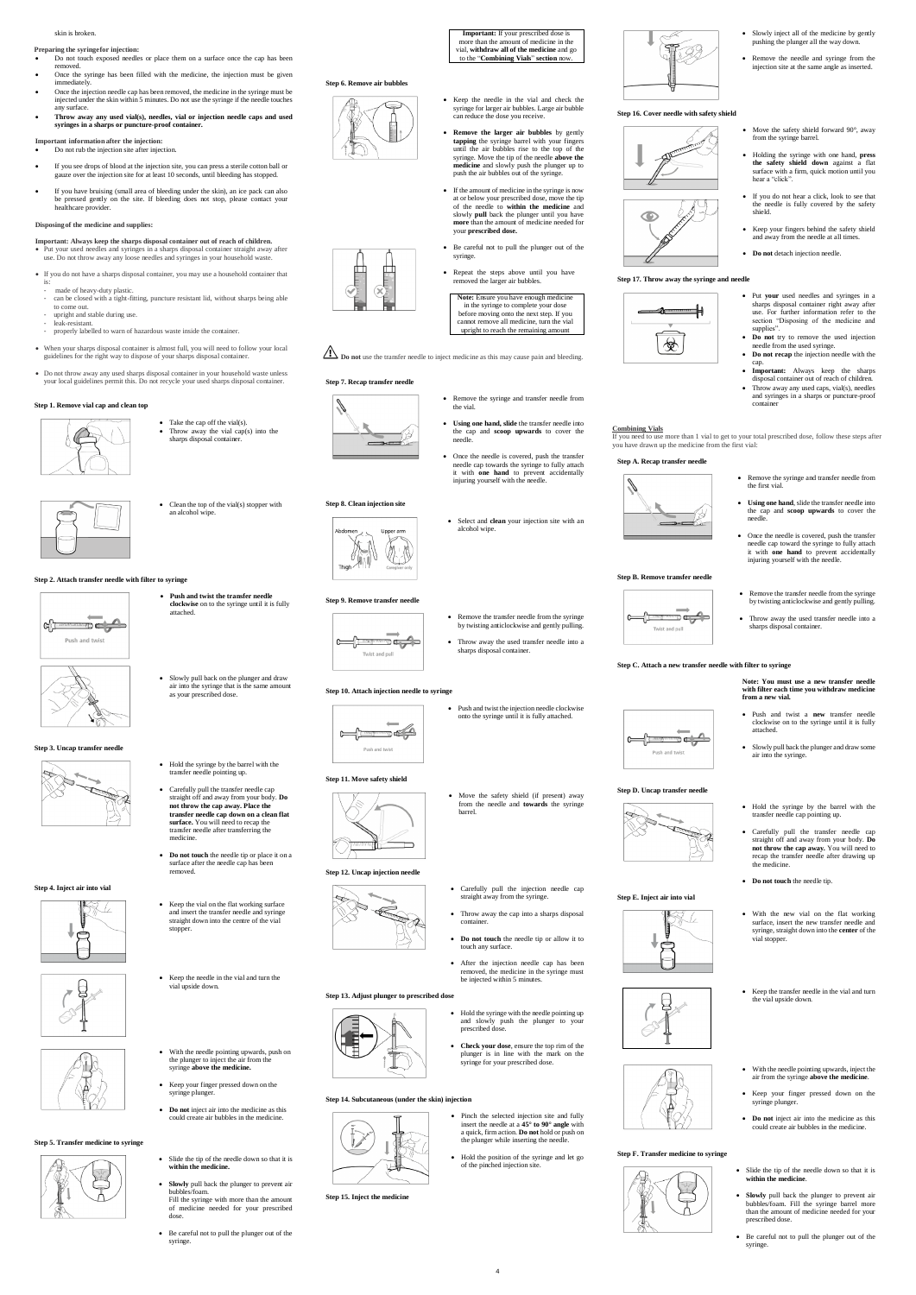#### skin is broken.

## **Preparing the syringefor injection:**

- Do not touch exposed needles or place them on a surface once the cap has been removed.
- Once the syringe has been filled with the medicine, the injection must be given immediately. Once the injection needle cap has been removed, the medicine in the syringe must be
- injected under the skin within 5 minutes. Do not use the syringe if the needle touches any surface.
- **Throw away any used vial(s), needles, vial or injection needle caps and used syringes in a sharps or puncture-proof container.**

**Important information after the injection:**

- Do not rub the injection site after injection.
- If you see drops of blood at the injection site, you can press a sterile cotton ball or gauze over the injection site for at least 10 seconds, until bleeding has stopped.
- If you have bruising (small area of bleeding under the skin), an ice pack can also be pressed gently on the site. If bleeding does not stop, please contact your healthcare provider.

## **Disposingof the medicine and supplies:**

• Take the cap off the vial(s). Throw away the vial cap(s) into the sharps disposal container.

- Clean the top of the vial(s) stopper with
- 

# Upper arm

• Hold the syringe by the barrel with the transfer needle pointing up. Carefully pull the transfer needle cap straight off and away from your body. **Do not throw the cap away. Place the transfer needle cap down on a clean flat surface.** You will need to recap the transfer needle after transferring the

 **Do not touch** the needle tip or place it on a surface after the needle cap has been

- **Important: Always keep the sharps disposal container out of reach of children.** Put your used needles and syringes in a sharps disposal container straight away after use. Do not throw away any loose needles and syringes in your household waste.
- If you do not have a sharps disposal container, you may use a household container that
- is: made of heavy-duty plastic
- can be closed with a tight-fitting, puncture resistant lid, without sharps being able to come out.
- upright and stable during use. leak-resistant.
- properly labelled to warn of hazardous waste inside the container.
- When your sharps disposal container is almost full, you will need to follow your local guidelines for the right way to dispose of your sharps disposal container.
- Do not throw away any used sharps disposal container in your household waste unless your local guidelines permit this. Do not recycle your used sharps disposal container.

• Keep the vial on the flat working surface and insert the transfer needle and syringe straight down into the centre of the vial

**Important:** If your prescribed dose is more than the amount of medicine in the vial, **withdraw all of the medicine** and go to the "**Combining Vials**" **section** now.

#### **Step 1. Remove vial cap and clean top**



an alcohol wipe.

**Step 2. Attach transfer needle with filter to syringe**

<u>=0 alg</u>

Push and twist

 **Push and twist the transfer needle clockwise** on to the syringe until it is fully

attached.

 Slowly pull back on the plunger and draw air into the syringe that is the same amount

as your prescribed dose.

**Step 3. Uncap transfer needle**

F

medicine.

- Remove the transfer needle from the syringe
	- Throw away the used transfer needle into a



removed.

**Step 4. Inject air into vial**

stopper.

 Keep the needle in the vial and turn the vial upside down.



- 
- - **Do not touch** the needle tip or allow it to touch any surface.
	- After the injection needle cap has been removed, the medicine in the syringe must

- With the needle pointing upwards, push on the plunger to inject the air from the syringe **above the medicine.**
- Keep your finger pressed down on the syringe plunger.
- **Do not** inject air into the medicine as this could create air bubbles in the medicine.

#### **Step 5. Transfer medicine to syringe**



- Slide the tip of the needle down so that it is **within the medicine.**
- **Slowly** pull back the plunger to prevent air bubbles/foam. Fill the syringe with more than the amount of medicine needed for your prescribed dose.
- Be careful not to pull the plunger out of the syringe.

be injected within 5 minutes.

**Step 6. Remove air bubbles**



- Slowly inject all of the medicine by gently pushing the plunger all the way down.
- Remove the needle and syringe from the injection site at the same angle as inserted.
- Move the safety shield forward 90°, away from the syringe barrel.
- Holding the syringe with one hand, **press the safety shield down** against a flat surface with a firm, quick motion until you hear a "click".
- If you do not hear a click, look to see that the needle is fully covered by the safety shield.
- Keep your fingers behind the safety shield and away from the needle at all times.
- **•** Do not detach injection needle.
- Put **your** used needles and syringes in a sharps disposal container right away after use. For further information refer to the section "Disposing of the medicine and
- supplies". • Do not try to remove the used injection
- **•** Do not recap the injection needle with the
- **Important:** Always keep the sharps disposal container out of reach of children. Throw away any used caps, vial(s), needles and syringes in a sharps or puncture-proof

- Keep the needle in the vial and check the syringe for larger air bubbles. Large air bubble can reduce the dose you receive.
- **Remove the larger air bubbles** by gently **tapping** the syringe barrel with your fingers until the air bubbles rise to the top of the syringe. Move the tip of the needle **above the medicine** and slowly push the plunger up to push the air bubbles out of the syringe.
- If the amount of medicine in the syringe is now at or below your prescribed dose, move the tip of the needle to **within the medicine** and slowly **pull** back the plunger until you have **more** than the amount of medicine needed for your **prescribed dose.**
- Be careful not to pull the plunger out of the syringe.
- Repeat the steps above until you have removed the larger air bubbles.

• Throw away the used transfer needle into a sharps disposal container.

**Note:** Ensure you have enough medicine in the syringe to complete your dose before moving onto the next step. If you cannot remove all medicine, turn the vial upright to reach the remaining amount

**I** Do not use the transfer needle to inject medicine as this may cause pain and bleeding.

#### **Step 7. Recap transfer needle**

- Remove the syringe and transfer needle from the vial.
- **Using one hand, slide** the transfer needle into the cap and **scoop upwards** to cover the needle.
- Once the needle is covered, push the transfer needle cap towards the syringe to fully attach it with **one hand** to prevent accidentally injuring yourself with the needle.
- Select and **clean** your injection site with an alcohol wipe.







**Step 8. Clean injection site**

#### **Step 9. Remove transfer needle**



by twisting anticlockwise and gently pulling.

sharps disposal container.

## **Step 10. Attach injection needle to syringe**

 $\Rightarrow$ Push and twist

 Push and twist the injection needle clockwise onto the syringe until it is fully attached.

#### **Step 11. Move safety shield**



 Move the safety shield (if present) away from the needle and **towards** the syringe

barrel.

• Hold the syringe with the needle pointing up and slowly push the plunger to your prescribed dose

#### **Step 12. Uncap injection needle**



 Carefully pull the injection needle cap straight away from the syringe. Throw away the cap into a sharps disposal

container.

## **Step 13. Adjust plunger to prescribed dose**



## **Step 14. Subcutaneous (under the skin) injection**



- **Check your dose**, ensure the top rim of the plunger is in line with the mark on the syringe for your prescribed dose.
- Pinch the selected injection site and fully insert the needle at a **45° to 90° angle** with a quick, firm action. **Do not** hold or push on the plunger while inserting the needle.
- Hold the position of the syringe and let go of the pinched injection site.





#### **Step 15. Inject the medicine**

## **Step 16. Cover needle with safety shield**





## **Step 17. Throw away the syringe and needle**



- needle from the used syringe. cap.
- container

#### **Combining Vials**

If you need to use more than 1 vial to get to your total prescribed dose, follow these steps after

you have drawn up the medicine from the first vial:

#### **Step A. Recap transfer needle**







Remove the syringe and transfer needle from

the first vial.

 **Using one hand**, slide the transfer needle into the cap and **scoop upwards** to cover the

needle.



 Once the needle is covered, push the transfer needle cap toward the syringe to fully attach it with **one hand** to prevent accidentally injuring yourself with the needle.

# **Step B. Remove transfer needle**





## **Step C. Attach a new transfer needle with filter to syringe**

 $\frac{1}{\sqrt{2}}$ 

**RANDER** 

**Note: You must use a new transfer needle with filter each time you withdraw medicine from a new vial.**

**Step D. Uncap transfer needle**

Push and twist

-G<del>---------</del>

- Push and twist a **new** transfer needle clockwise on to the syringe until it is fully attached.
- Slowly pull back the plunger and draw some air into the syringe.
- Hold the syringe by the barrel with the transfer needle cap pointing up.
- Carefully pull the transfer needle cap straight off and away from your body. **Do not throw the cap away.** You will need to recap the transfer needle after drawing up the medicine.
- **Do not touch** the needle tip.
- With the new vial on the flat working surface, insert the new transfer needle and syringe, straight down into the **center** of the vial stopper.

**Step E. Inject air into vial**

- Keep the transfer needle in the vial and turn the vial upside down.
- With the needle pointing upwards, inject the air from the syringe **above the medicine**.
- Keep your finger pressed down on the syringe plunger
- **Do not** inject air into the medicine as this could create air bubbles in the medicine.
- Slide the tip of the needle down so that it is **within the medicine**.
- **Slowly** pull back the plunger to prevent air bubbles/foam. Fill the syringe barrel more than the amount of medicine needed for your prescribed dose.
- Be careful not to pull the plunger out of the syringe.

## **Step F. Transfer medicine to syringe**